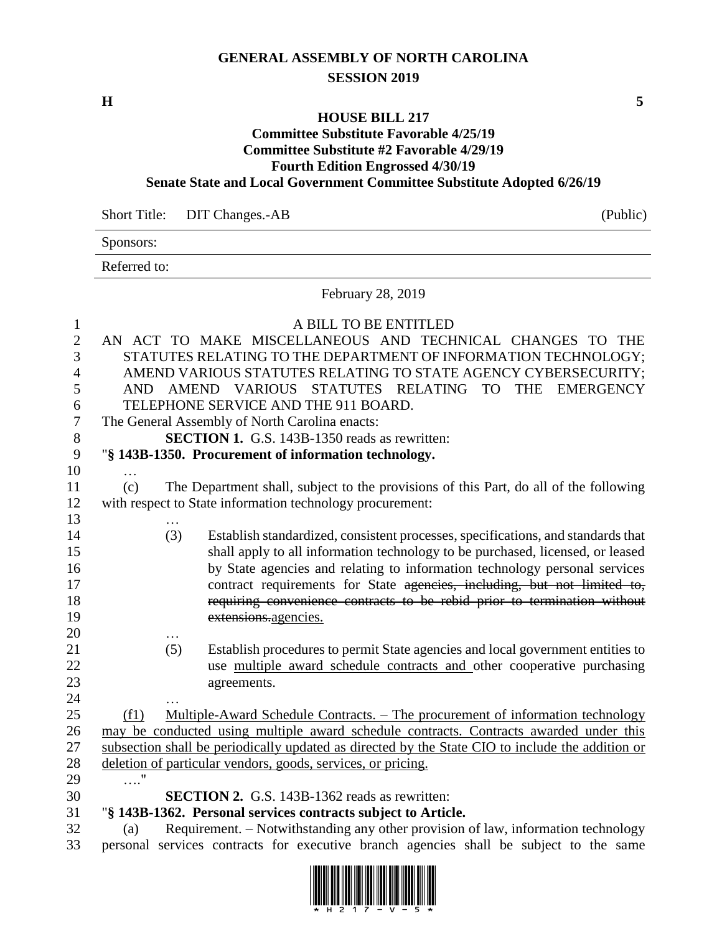## **GENERAL ASSEMBLY OF NORTH CAROLINA SESSION 2019**

**H 5**

### **HOUSE BILL 217**

#### **Committee Substitute Favorable 4/25/19 Committee Substitute #2 Favorable 4/29/19 Fourth Edition Engrossed 4/30/19**

## **Senate State and Local Government Committee Substitute Adopted 6/26/19**

| Short Title: DIT Changes.-AB | (Public) |
|------------------------------|----------|

Sponsors:

Referred to:

February 28, 2019

| $\mathbf{1}$   |      | A BILL TO BE ENTITLED                                                                            |
|----------------|------|--------------------------------------------------------------------------------------------------|
| $\mathbf{2}$   |      | AN ACT TO MAKE MISCELLANEOUS AND TECHNICAL CHANGES TO THE                                        |
| 3              |      | STATUTES RELATING TO THE DEPARTMENT OF INFORMATION TECHNOLOGY;                                   |
| $\overline{4}$ |      | AMEND VARIOUS STATUTES RELATING TO STATE AGENCY CYBERSECURITY;                                   |
| 5              | AND. | AMEND VARIOUS STATUTES RELATING<br><b>TO</b><br><b>THE</b><br><b>EMERGENCY</b>                   |
| 6              |      | TELEPHONE SERVICE AND THE 911 BOARD.                                                             |
| $\tau$         |      | The General Assembly of North Carolina enacts:                                                   |
| $8\,$          |      | <b>SECTION 1.</b> G.S. 143B-1350 reads as rewritten:                                             |
| 9              |      | "§ 143B-1350. Procurement of information technology.                                             |
| 10             | .    |                                                                                                  |
| 11             | (c)  | The Department shall, subject to the provisions of this Part, do all of the following            |
| 12             |      | with respect to State information technology procurement:                                        |
| 13             |      |                                                                                                  |
| 14             |      | (3)<br>Establish standardized, consistent processes, specifications, and standards that          |
| 15             |      | shall apply to all information technology to be purchased, licensed, or leased                   |
| 16             |      | by State agencies and relating to information technology personal services                       |
| 17             |      | contract requirements for State agencies, including, but not limited to,                         |
| 18             |      | requiring convenience contracts to be rebid prior to termination without                         |
| 19             |      | extensions.agencies.                                                                             |
| 20             |      |                                                                                                  |
| 21             |      | Establish procedures to permit State agencies and local government entities to<br>(5)            |
| 22             |      | use multiple award schedule contracts and other cooperative purchasing                           |
| 23             |      | agreements.                                                                                      |
| 24             |      |                                                                                                  |
| 25             | (f1) | <u> Multiple-Award Schedule Contracts. – The procurement of information technology</u>           |
| 26             |      | may be conducted using multiple award schedule contracts. Contracts awarded under this           |
| 27             |      | subsection shall be periodically updated as directed by the State CIO to include the addition or |
| 28             |      | deletion of particular vendors, goods, services, or pricing.                                     |
| 29             | . "  |                                                                                                  |
| 30             |      | <b>SECTION 2.</b> G.S. 143B-1362 reads as rewritten:                                             |
| 31             |      | "§ 143B-1362. Personal services contracts subject to Article.                                    |
| 32             | (a)  | Requirement. – Notwithstanding any other provision of law, information technology                |
| 33             |      | personal services contracts for executive branch agencies shall be subject to the same           |

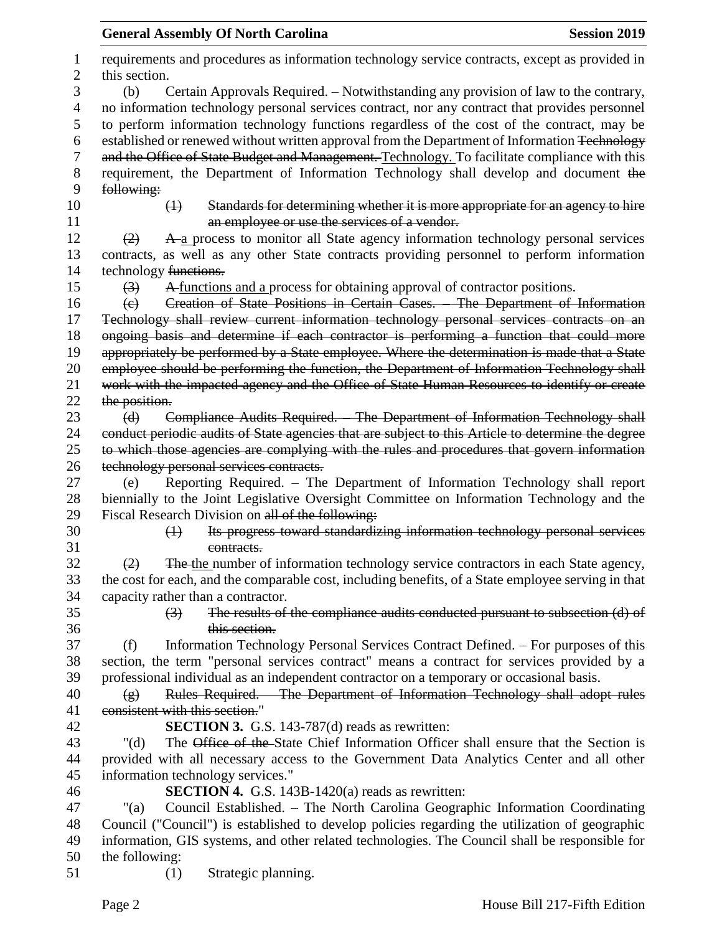|        | <b>General Assembly Of North Carolina</b><br><b>Session 2019</b>                                                |
|--------|-----------------------------------------------------------------------------------------------------------------|
| 1<br>2 | requirements and procedures as information technology service contracts, except as provided in<br>this section. |
| 3      | Certain Approvals Required. - Notwithstanding any provision of law to the contrary,<br>(b)                      |
| 4      | no information technology personal services contract, nor any contract that provides personnel                  |
| 5      | to perform information technology functions regardless of the cost of the contract, may be                      |
| 6      | established or renewed without written approval from the Department of Information Technology                   |
| 7      | and the Office of State Budget and Management. Technology. To facilitate compliance with this                   |
| 8      | requirement, the Department of Information Technology shall develop and document the                            |
| 9      | following:                                                                                                      |
| 10     | Standards for determining whether it is more appropriate for an agency to hire<br>$\leftrightarrow$             |
| 11     | an employee or use the services of a vendor.                                                                    |
| 12     | A a process to monitor all State agency information technology personal services<br>(2)                         |
| 13     | contracts, as well as any other State contracts providing personnel to perform information                      |
| 14     | technology functions.                                                                                           |
| 15     | A functions and a process for obtaining approval of contractor positions.<br>$\left(3\right)$                   |
| 16     | Creation of State Positions in Certain Cases. The Department of Information<br>$\left( e\right)$                |
| 17     | Technology shall review current information technology personal services contracts on an                        |
| 18     | ongoing basis and determine if each contractor is performing a function that could more                         |
| 19     | appropriately be performed by a State employee. Where the determination is made that a State                    |
| 20     | employee should be performing the function, the Department of Information Technology shall                      |
| 21     | work with the impacted agency and the Office of State Human Resources to identify or create                     |
| 22     | the position.                                                                                                   |
| 23     | Compliance Audits Required. The Department of Information Technology shall<br>(d)                               |
| 24     | conduct periodic audits of State agencies that are subject to this Article to determine the degree              |
| 25     | to which those agencies are complying with the rules and procedures that govern information                     |
| 26     | technology personal services contracts.                                                                         |
| 27     | Reporting Required. - The Department of Information Technology shall report<br>(e)                              |
| 28     | biennially to the Joint Legislative Oversight Committee on Information Technology and the                       |
| 29     | Fiscal Research Division on all of the following:                                                               |
| 30     | Its progress toward standardizing information technology personal services<br>$\leftrightarrow$                 |
| 31     | contracts.                                                                                                      |
| 32     | The the number of information technology service contractors in each State agency,<br>(2)                       |
| 33     | the cost for each, and the comparable cost, including benefits, of a State employee serving in that             |
| 34     | capacity rather than a contractor.                                                                              |
| 35     | The results of the compliance audits conducted pursuant to subsection (d) of<br>$\left(3\right)$                |
| 36     | this section.                                                                                                   |
| 37     | Information Technology Personal Services Contract Defined. – For purposes of this<br>(f)                        |
| 38     | section, the term "personal services contract" means a contract for services provided by a                      |
| 39     | professional individual as an independent contractor on a temporary or occasional basis.                        |
| 40     | Rules Required. The Department of Information Technology shall adopt rules<br>$\left( g\right)$                 |
| 41     | consistent with this section."                                                                                  |
| 42     | <b>SECTION 3.</b> G.S. 143-787(d) reads as rewritten:                                                           |
| 43     | The Office of the State Chief Information Officer shall ensure that the Section is<br>" $(d)$                   |
| 44     | provided with all necessary access to the Government Data Analytics Center and all other                        |
| 45     | information technology services."                                                                               |
| 46     | <b>SECTION 4.</b> G.S. 143B-1420(a) reads as rewritten:                                                         |
| 47     | Council Established. - The North Carolina Geographic Information Coordinating<br>"(a)                           |
| 48     | Council ("Council") is established to develop policies regarding the utilization of geographic                  |
| 49     | information, GIS systems, and other related technologies. The Council shall be responsible for                  |
| 50     | the following:                                                                                                  |
| 51     | Strategic planning.<br>(1)                                                                                      |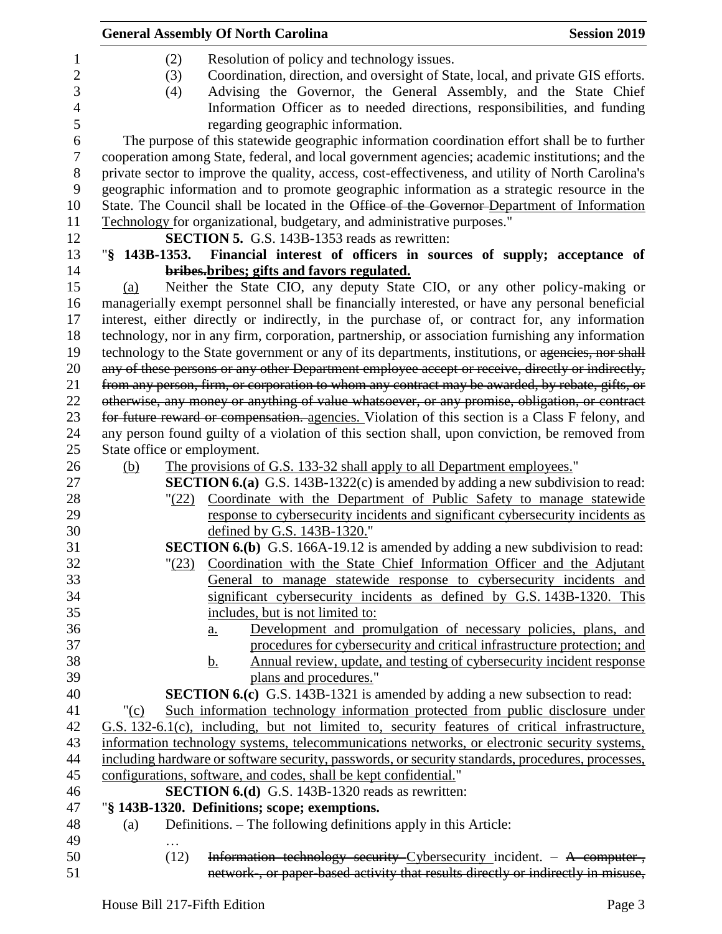|                  |                             | <b>General Assembly Of North Carolina</b>                                                          | <b>Session 2019</b> |
|------------------|-----------------------------|----------------------------------------------------------------------------------------------------|---------------------|
| $\mathbf{1}$     | (2)                         | Resolution of policy and technology issues.                                                        |                     |
| $\mathbf{2}$     | (3)                         | Coordination, direction, and oversight of State, local, and private GIS efforts.                   |                     |
| 3                |                             | Advising the Governor, the General Assembly, and the State Chief                                   |                     |
|                  | (4)                         |                                                                                                    |                     |
| $\overline{4}$   |                             | Information Officer as to needed directions, responsibilities, and funding                         |                     |
| 5                |                             | regarding geographic information.                                                                  |                     |
| 6                |                             | The purpose of this statewide geographic information coordination effort shall be to further       |                     |
| $\boldsymbol{7}$ |                             | cooperation among State, federal, and local government agencies; academic institutions; and the    |                     |
| $8\,$            |                             | private sector to improve the quality, access, cost-effectiveness, and utility of North Carolina's |                     |
| 9                |                             | geographic information and to promote geographic information as a strategic resource in the        |                     |
| 10               |                             | State. The Council shall be located in the Office of the Governor-Department of Information        |                     |
| 11               |                             | Technology for organizational, budgetary, and administrative purposes."                            |                     |
| 12               |                             | <b>SECTION 5.</b> G.S. 143B-1353 reads as rewritten:                                               |                     |
| 13               |                             | "§ 143B-1353. Financial interest of officers in sources of supply; acceptance of                   |                     |
| 14               |                             | bribes-bribes; gifts and favors regulated.                                                         |                     |
| 15               | (a)                         | Neither the State CIO, any deputy State CIO, or any other policy-making or                         |                     |
| 16               |                             | managerially exempt personnel shall be financially interested, or have any personal beneficial     |                     |
| 17               |                             | interest, either directly or indirectly, in the purchase of, or contract for, any information      |                     |
| 18               |                             | technology, nor in any firm, corporation, partnership, or association furnishing any information   |                     |
| 19               |                             | technology to the State government or any of its departments, institutions, or agencies, nor shall |                     |
| 20               |                             | any of these persons or any other Department employee accept or receive, directly or indirectly,   |                     |
| 21               |                             | from any person, firm, or corporation to whom any contract may be awarded, by rebate, gifts, or    |                     |
| 22               |                             | otherwise, any money or anything of value whatsoever, or any promise, obligation, or contract      |                     |
| 23               |                             | for future reward or compensation. agencies. Violation of this section is a Class F felony, and    |                     |
| 24               |                             | any person found guilty of a violation of this section shall, upon conviction, be removed from     |                     |
| 25               | State office or employment. |                                                                                                    |                     |
| 26               | (b)                         | The provisions of G.S. 133-32 shall apply to all Department employees."                            |                     |
| 27               |                             | <b>SECTION 6.(a)</b> G.S. 143B-1322(c) is amended by adding a new subdivision to read:             |                     |
| 28               |                             | "(22) Coordinate with the Department of Public Safety to manage statewide                          |                     |
| 29               |                             | response to cybersecurity incidents and significant cybersecurity incidents as                     |                     |
| 30               |                             | defined by G.S. 143B-1320."                                                                        |                     |
| 31               |                             | <b>SECTION 6.(b)</b> G.S. 166A-19.12 is amended by adding a new subdivision to read:               |                     |
| 32               | $\frac{123}{2}$             | Coordination with the State Chief Information Officer and the Adjutant                             |                     |
| 33               |                             | General to manage statewide response to cybersecurity incidents and                                |                     |
| 34               |                             | significant cybersecurity incidents as defined by G.S. 143B-1320. This                             |                     |
| 35               |                             | includes, but is not limited to:                                                                   |                     |
| 36               |                             | Development and promulgation of necessary policies, plans, and<br>$\underline{a}$ .                |                     |
| 37               |                             | procedures for cybersecurity and critical infrastructure protection; and                           |                     |
| 38               |                             | Annual review, update, and testing of cybersecurity incident response<br><u>b.</u>                 |                     |
| 39               |                             | plans and procedures."                                                                             |                     |
| 40               |                             | <b>SECTION 6.(c)</b> G.S. 143B-1321 is amended by adding a new subsection to read:                 |                     |
| 41               | " $(c)$                     | Such information technology information protected from public disclosure under                     |                     |
| 42               |                             | G.S. 132-6.1(c), including, but not limited to, security features of critical infrastructure,      |                     |
| 43               |                             | information technology systems, telecommunications networks, or electronic security systems,       |                     |
| 44               |                             | including hardware or software security, passwords, or security standards, procedures, processes,  |                     |
| 45               |                             | configurations, software, and codes, shall be kept confidential."                                  |                     |
| 46               |                             | SECTION 6.(d) G.S. 143B-1320 reads as rewritten:                                                   |                     |
| 47               |                             | "§ 143B-1320. Definitions; scope; exemptions.                                                      |                     |
| 48               | (a)                         | Definitions. – The following definitions apply in this Article:                                    |                     |
| 49               |                             |                                                                                                    |                     |
| 50               | (12)                        | Information technology security Cybersecurity incident. - A computer-,                             |                     |
| 51               |                             | network-, or paper-based activity that results directly or indirectly in misuse,                   |                     |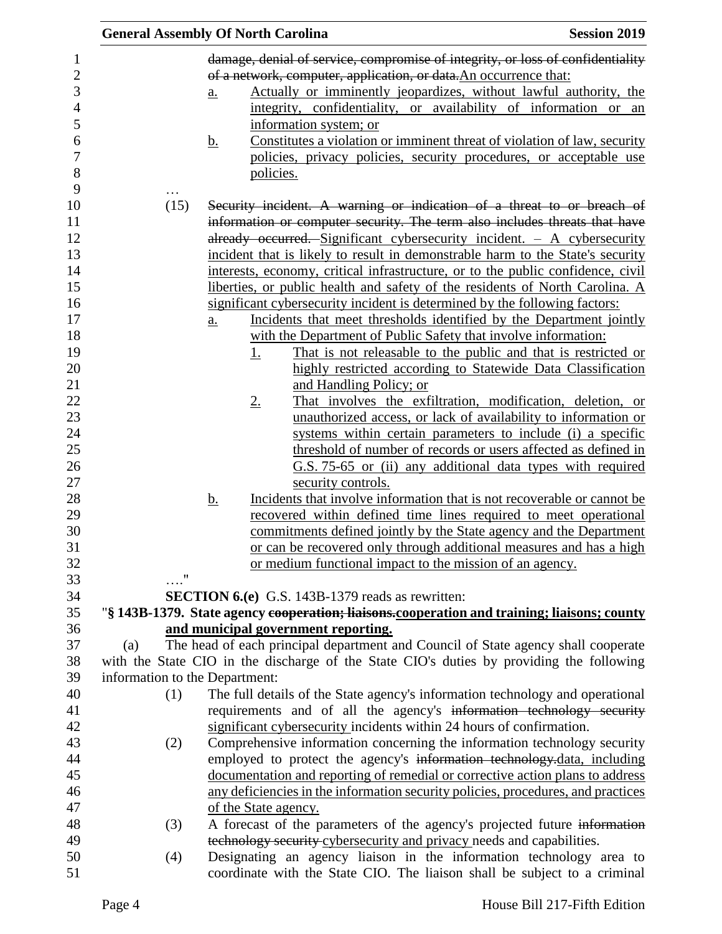|                                | <b>General Assembly Of North Carolina</b>                                                                                                                         | <b>Session 2019</b> |
|--------------------------------|-------------------------------------------------------------------------------------------------------------------------------------------------------------------|---------------------|
|                                | damage, denial of service, compromise of integrity, or loss of confidentiality                                                                                    |                     |
|                                | of a network, computer, application, or data. An occurrence that:                                                                                                 |                     |
|                                | Actually or imminently jeopardizes, without lawful authority, the<br>$\underline{a}$ .                                                                            |                     |
|                                | integrity, confidentiality, or availability of information or an                                                                                                  |                     |
|                                | information system; or                                                                                                                                            |                     |
|                                | Constitutes a violation or imminent threat of violation of law, security<br><u>b.</u>                                                                             |                     |
|                                | policies, privacy policies, security procedures, or acceptable use                                                                                                |                     |
|                                | policies.                                                                                                                                                         |                     |
|                                |                                                                                                                                                                   |                     |
| (15)                           | Security incident. A warning or indication of a threat to or breach of                                                                                            |                     |
|                                | information or computer security. The term also includes threats that have                                                                                        |                     |
|                                | already occurred. Significant cybersecurity incident. $-$ A cybersecurity                                                                                         |                     |
|                                | incident that is likely to result in demonstrable harm to the State's security                                                                                    |                     |
|                                | interests, economy, critical infrastructure, or to the public confidence, civil                                                                                   |                     |
|                                | liberties, or public health and safety of the residents of North Carolina. A                                                                                      |                     |
|                                | significant cybersecurity incident is determined by the following factors:                                                                                        |                     |
|                                | Incidents that meet thresholds identified by the Department jointly<br>a.                                                                                         |                     |
|                                | with the Department of Public Safety that involve information:                                                                                                    |                     |
|                                | That is not releasable to the public and that is restricted or<br><u>1.</u>                                                                                       |                     |
|                                | highly restricted according to Statewide Data Classification                                                                                                      |                     |
|                                | and Handling Policy; or                                                                                                                                           |                     |
|                                | That involves the exfiltration, modification, deletion, or<br><u>2.</u>                                                                                           |                     |
|                                | unauthorized access, or lack of availability to information or                                                                                                    |                     |
|                                | systems within certain parameters to include (i) a specific<br>threshold of number of records or users affected as defined in                                     |                     |
|                                | G.S. 75-65 or (ii) any additional data types with required                                                                                                        |                     |
|                                | security controls.                                                                                                                                                |                     |
|                                | Incidents that involve information that is not recoverable or cannot be<br><u>b.</u>                                                                              |                     |
|                                | recovered within defined time lines required to meet operational                                                                                                  |                     |
|                                | commitments defined jointly by the State agency and the Department                                                                                                |                     |
|                                | or can be recovered only through additional measures and has a high                                                                                               |                     |
|                                | or medium functional impact to the mission of an agency.                                                                                                          |                     |
|                                |                                                                                                                                                                   |                     |
|                                | SECTION 6.(e) G.S. 143B-1379 reads as rewritten:                                                                                                                  |                     |
|                                | "§ 143B-1379. State agency cooperation; liaisons.cooperation and training; liaisons; county                                                                       |                     |
|                                | and municipal government reporting.                                                                                                                               |                     |
| (a)                            | The head of each principal department and Council of State agency shall cooperate                                                                                 |                     |
|                                | with the State CIO in the discharge of the State CIO's duties by providing the following                                                                          |                     |
| information to the Department: |                                                                                                                                                                   |                     |
| (1)                            | The full details of the State agency's information technology and operational                                                                                     |                     |
|                                | requirements and of all the agency's information technology security                                                                                              |                     |
|                                | significant cybersecurity incidents within 24 hours of confirmation.                                                                                              |                     |
| (2)                            | Comprehensive information concerning the information technology security                                                                                          |                     |
|                                | employed to protect the agency's information technology-data, including                                                                                           |                     |
|                                | documentation and reporting of remedial or corrective action plans to address<br>any deficiencies in the information security policies, procedures, and practices |                     |
|                                | of the State agency.                                                                                                                                              |                     |
| (3)                            | A forecast of the parameters of the agency's projected future information                                                                                         |                     |
|                                | technology security cybersecurity and privacy needs and capabilities.                                                                                             |                     |
| (4)                            | Designating an agency liaison in the information technology area to                                                                                               |                     |
|                                | coordinate with the State CIO. The liaison shall be subject to a criminal                                                                                         |                     |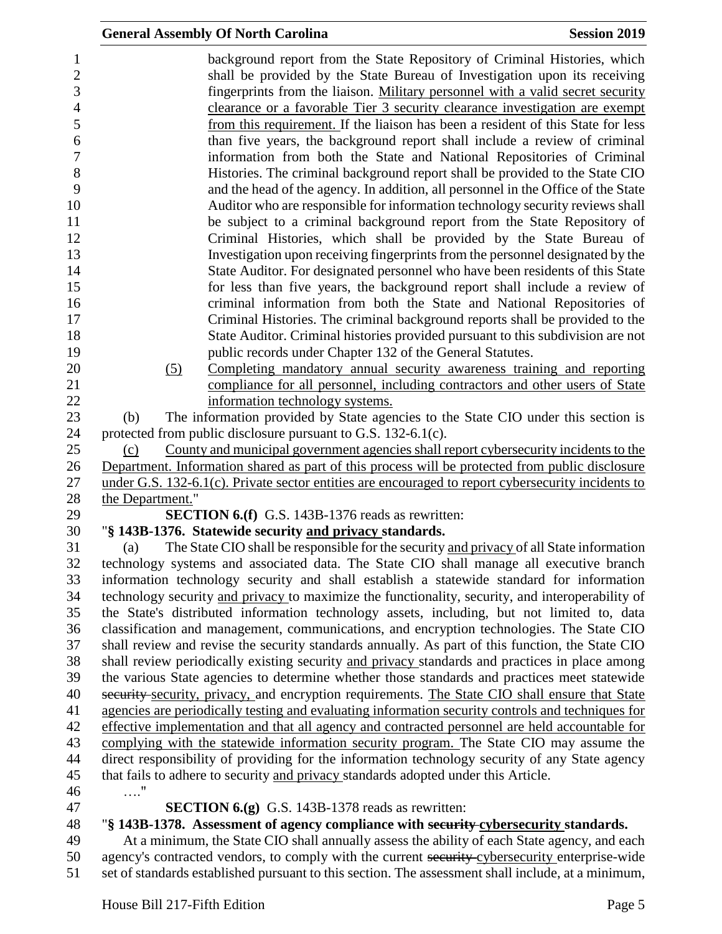|                  | <b>General Assembly Of North Carolina</b>                                                                                                                                                           | <b>Session 2019</b> |
|------------------|-----------------------------------------------------------------------------------------------------------------------------------------------------------------------------------------------------|---------------------|
|                  | background report from the State Repository of Criminal Histories, which<br>shall be provided by the State Bureau of Investigation upon its receiving                                               |                     |
|                  | fingerprints from the liaison. Military personnel with a valid secret security                                                                                                                      |                     |
|                  | clearance or a favorable Tier 3 security clearance investigation are exempt                                                                                                                         |                     |
|                  | from this requirement. If the liaison has been a resident of this State for less                                                                                                                    |                     |
|                  | than five years, the background report shall include a review of criminal                                                                                                                           |                     |
|                  | information from both the State and National Repositories of Criminal                                                                                                                               |                     |
|                  | Histories. The criminal background report shall be provided to the State CIO                                                                                                                        |                     |
|                  | and the head of the agency. In addition, all personnel in the Office of the State                                                                                                                   |                     |
|                  | Auditor who are responsible for information technology security reviews shall<br>be subject to a criminal background report from the State Repository of                                            |                     |
|                  | Criminal Histories, which shall be provided by the State Bureau of                                                                                                                                  |                     |
|                  | Investigation upon receiving fingerprints from the personnel designated by the                                                                                                                      |                     |
|                  | State Auditor. For designated personnel who have been residents of this State                                                                                                                       |                     |
|                  | for less than five years, the background report shall include a review of                                                                                                                           |                     |
|                  | criminal information from both the State and National Repositories of                                                                                                                               |                     |
|                  | Criminal Histories. The criminal background reports shall be provided to the                                                                                                                        |                     |
|                  | State Auditor. Criminal histories provided pursuant to this subdivision are not                                                                                                                     |                     |
|                  | public records under Chapter 132 of the General Statutes.                                                                                                                                           |                     |
| (5)              | Completing mandatory annual security awareness training and reporting<br>compliance for all personnel, including contractors and other users of State                                               |                     |
|                  | information technology systems.                                                                                                                                                                     |                     |
| (b)              | The information provided by State agencies to the State CIO under this section is                                                                                                                   |                     |
|                  | protected from public disclosure pursuant to G.S. 132-6.1(c).                                                                                                                                       |                     |
| (c)              | County and municipal government agencies shall report cybersecurity incidents to the                                                                                                                |                     |
|                  | Department. Information shared as part of this process will be protected from public disclosure                                                                                                     |                     |
|                  | under G.S. 132-6.1(c). Private sector entities are encouraged to report cybersecurity incidents to                                                                                                  |                     |
| the Department." |                                                                                                                                                                                                     |                     |
|                  | <b>SECTION 6.(f)</b> G.S. 143B-1376 reads as rewritten:                                                                                                                                             |                     |
| (a)              | "§ 143B-1376. Statewide security and privacy standards.<br>The State CIO shall be responsible for the security and privacy of all State information                                                 |                     |
|                  | technology systems and associated data. The State CIO shall manage all executive branch                                                                                                             |                     |
|                  | information technology security and shall establish a statewide standard for information                                                                                                            |                     |
|                  | technology security and privacy to maximize the functionality, security, and interoperability of                                                                                                    |                     |
|                  | the State's distributed information technology assets, including, but not limited to, data                                                                                                          |                     |
|                  | classification and management, communications, and encryption technologies. The State CIO                                                                                                           |                     |
|                  | shall review and revise the security standards annually. As part of this function, the State CIO                                                                                                    |                     |
|                  | shall review periodically existing security and privacy standards and practices in place among                                                                                                      |                     |
|                  | the various State agencies to determine whether those standards and practices meet statewide                                                                                                        |                     |
|                  | security security, privacy, and encryption requirements. The State CIO shall ensure that State                                                                                                      |                     |
|                  | agencies are periodically testing and evaluating information security controls and techniques for<br>effective implementation and that all agency and contracted personnel are held accountable for |                     |
|                  | complying with the statewide information security program. The State CIO may assume the                                                                                                             |                     |
|                  | direct responsibility of providing for the information technology security of any State agency                                                                                                      |                     |
|                  | that fails to adhere to security and privacy standards adopted under this Article.                                                                                                                  |                     |
| $\ldots$ "       |                                                                                                                                                                                                     |                     |
|                  | <b>SECTION 6.(g)</b> G.S. 143B-1378 reads as rewritten:                                                                                                                                             |                     |
|                  | "§ 143B-1378. Assessment of agency compliance with security-cybersecurity standards.                                                                                                                |                     |
|                  | At a minimum, the State CIO shall annually assess the ability of each State agency, and each                                                                                                        |                     |
|                  | agency's contracted vendors, to comply with the current security cybersecurity enterprise-wide                                                                                                      |                     |
|                  | set of standards established pursuant to this section. The assessment shall include, at a minimum,                                                                                                  |                     |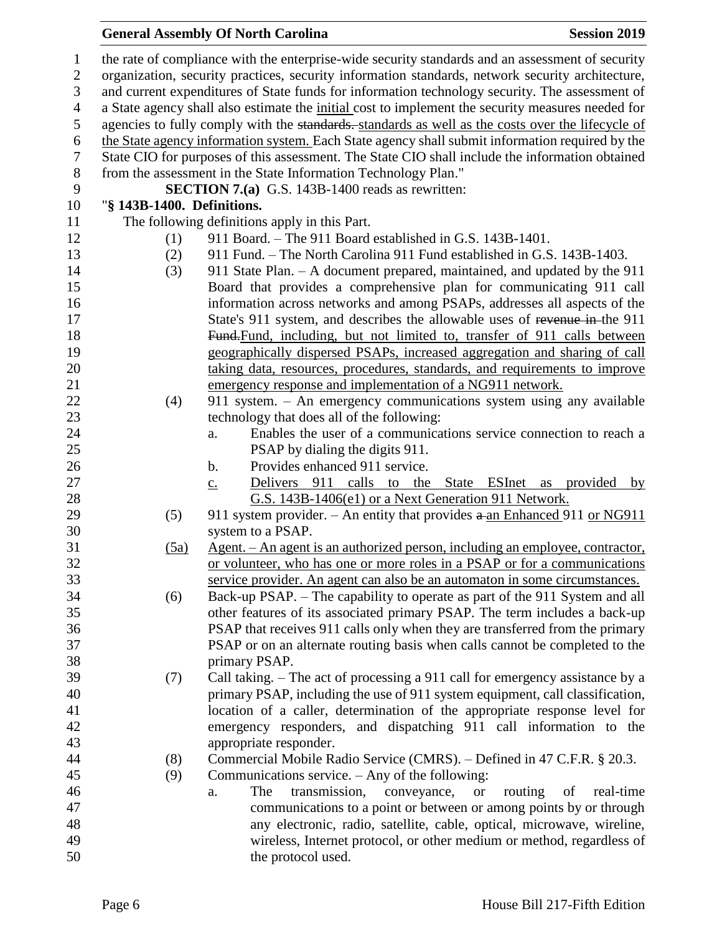# **General Assembly Of North Carolina Session 2019**

| $\mathbf{1}$   |                            | the rate of compliance with the enterprise-wide security standards and an assessment of security  |
|----------------|----------------------------|---------------------------------------------------------------------------------------------------|
| $\overline{2}$ |                            | organization, security practices, security information standards, network security architecture,  |
| 3              |                            | and current expenditures of State funds for information technology security. The assessment of    |
| $\overline{4}$ |                            | a State agency shall also estimate the initial cost to implement the security measures needed for |
| 5              |                            | agencies to fully comply with the standards. standards as well as the costs over the lifecycle of |
| 6              |                            | the State agency information system. Each State agency shall submit information required by the   |
| $\tau$         |                            | State CIO for purposes of this assessment. The State CIO shall include the information obtained   |
| $8\,$          |                            | from the assessment in the State Information Technology Plan."                                    |
| 9              |                            | <b>SECTION 7.(a)</b> G.S. 143B-1400 reads as rewritten:                                           |
| 10             | "§ 143B-1400. Definitions. |                                                                                                   |
| 11             |                            | The following definitions apply in this Part.                                                     |
| 12             | (1)                        | 911 Board. - The 911 Board established in G.S. 143B-1401.                                         |
| 13             | (2)                        | 911 Fund. – The North Carolina 911 Fund established in G.S. 143B-1403.                            |
| 14             | (3)                        | 911 State Plan. - A document prepared, maintained, and updated by the 911                         |
| 15             |                            | Board that provides a comprehensive plan for communicating 911 call                               |
| 16             |                            | information across networks and among PSAPs, addresses all aspects of the                         |
| 17             |                            | State's 911 system, and describes the allowable uses of revenue in-the 911                        |
| 18             |                            | Fund-Fund, including, but not limited to, transfer of 911 calls between                           |
| 19             |                            | geographically dispersed PSAPs, increased aggregation and sharing of call                         |
| 20             |                            | taking data, resources, procedures, standards, and requirements to improve                        |
| 21             |                            | emergency response and implementation of a NG911 network.                                         |
| 22             | (4)                        | 911 system. - An emergency communications system using any available                              |
| 23             |                            | technology that does all of the following:                                                        |
| 24             |                            | Enables the user of a communications service connection to reach a<br>a.                          |
| 25             |                            | PSAP by dialing the digits 911.                                                                   |
| 26             |                            | Provides enhanced 911 service.<br>b.                                                              |
| 27             |                            | Delivers 911 calls to the State ESInet<br>provided<br>as<br>by<br>$\underline{c}$ .               |
| 28             |                            | G.S. 143B-1406(e1) or a Next Generation 911 Network.                                              |
| 29             | (5)                        | 911 system provider. – An entity that provides $a$ -an Enhanced 911 or NG911                      |
| 30             |                            | system to a PSAP.                                                                                 |
| 31             | (5a)                       | <u>Agent. – An agent is an authorized person, including an employee, contractor,</u>              |
| 32             |                            | or volunteer, who has one or more roles in a PSAP or for a communications                         |
| 33             |                            | service provider. An agent can also be an automaton in some circumstances.                        |
| 34             | (6)                        | Back-up PSAP. – The capability to operate as part of the 911 System and all                       |
| 35             |                            | other features of its associated primary PSAP. The term includes a back-up                        |
| 36             |                            | PSAP that receives 911 calls only when they are transferred from the primary                      |
| 37             |                            | PSAP or on an alternate routing basis when calls cannot be completed to the                       |
| 38             |                            | primary PSAP.                                                                                     |
| 39             | (7)                        | Call taking. – The act of processing a 911 call for emergency assistance by a                     |
| 40             |                            | primary PSAP, including the use of 911 system equipment, call classification,                     |
| 41             |                            | location of a caller, determination of the appropriate response level for                         |
| 42             |                            | emergency responders, and dispatching 911 call information to the                                 |
| 43             |                            | appropriate responder.                                                                            |
| 44             | (8)                        | Commercial Mobile Radio Service (CMRS). – Defined in 47 C.F.R. § 20.3.                            |
| 45             | (9)                        | Communications service. – Any of the following:                                                   |
| 46             |                            | The<br>transmission,<br>routing<br>real-time<br>conveyance,<br>of<br><b>or</b><br>a.              |
| 47             |                            | communications to a point or between or among points by or through                                |
| 48             |                            | any electronic, radio, satellite, cable, optical, microwave, wireline,                            |
| 49             |                            | wireless, Internet protocol, or other medium or method, regardless of                             |
| 50             |                            | the protocol used.                                                                                |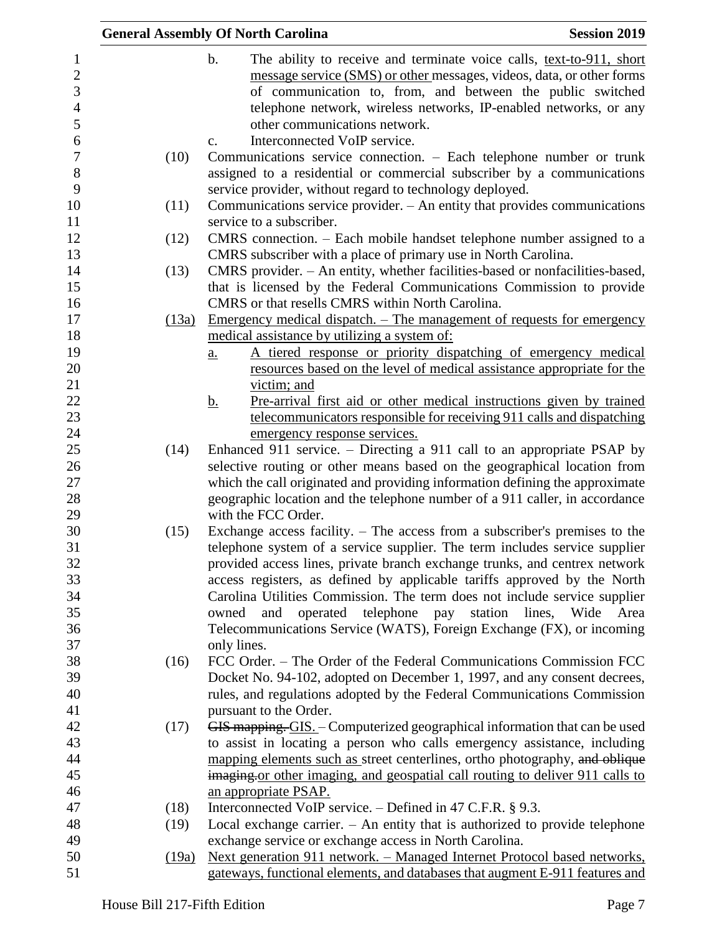|       | <b>Session 2019</b><br><b>General Assembly Of North Carolina</b>                      |
|-------|---------------------------------------------------------------------------------------|
|       | $\mathbf b$ .<br>The ability to receive and terminate voice calls, text-to-911, short |
|       | message service (SMS) or other messages, videos, data, or other forms                 |
|       | of communication to, from, and between the public switched                            |
|       | telephone network, wireless networks, IP-enabled networks, or any                     |
|       | other communications network.                                                         |
|       | Interconnected VoIP service.<br>$C_{\bullet}$                                         |
| (10)  | Communications service connection. - Each telephone number or trunk                   |
|       | assigned to a residential or commercial subscriber by a communications                |
|       | service provider, without regard to technology deployed.                              |
| (11)  | Communications service provider. – An entity that provides communications             |
|       | service to a subscriber.                                                              |
| (12)  | CMRS connection. – Each mobile handset telephone number assigned to a                 |
|       | CMRS subscriber with a place of primary use in North Carolina.                        |
|       |                                                                                       |
| (13)  | CMRS provider. - An entity, whether facilities-based or nonfacilities-based,          |
|       | that is licensed by the Federal Communications Commission to provide                  |
|       | CMRS or that resells CMRS within North Carolina.                                      |
| (13a) | <u>Emergency medical dispatch. – The management of requests for emergency</u>         |
|       | medical assistance by utilizing a system of:                                          |
|       | A tiered response or priority dispatching of emergency medical<br>$\underline{a}$ .   |
|       | resources based on the level of medical assistance appropriate for the                |
|       | victim; and                                                                           |
|       | Pre-arrival first aid or other medical instructions given by trained<br><u>b.</u>     |
|       | telecommunicators responsible for receiving 911 calls and dispatching                 |
|       | emergency response services.                                                          |
| (14)  | Enhanced 911 service. – Directing a 911 call to an appropriate PSAP by                |
|       | selective routing or other means based on the geographical location from              |
|       | which the call originated and providing information defining the approximate          |
|       | geographic location and the telephone number of a 911 caller, in accordance           |
|       | with the FCC Order.                                                                   |
| (15)  | Exchange access facility. – The access from a subscriber's premises to the            |
|       | telephone system of a service supplier. The term includes service supplier            |
|       | provided access lines, private branch exchange trunks, and centrex network            |
|       | access registers, as defined by applicable tariffs approved by the North              |
|       | Carolina Utilities Commission. The term does not include service supplier             |
|       | operated telephone pay station lines, Wide<br>Area<br>owned<br>and                    |
|       | Telecommunications Service (WATS), Foreign Exchange (FX), or incoming                 |
|       | only lines.                                                                           |
| (16)  | FCC Order. – The Order of the Federal Communications Commission FCC                   |
|       | Docket No. 94-102, adopted on December 1, 1997, and any consent decrees,              |
|       | rules, and regulations adopted by the Federal Communications Commission               |
|       | pursuant to the Order.                                                                |
| (17)  | GIS mapping. GIS. - Computerized geographical information that can be used            |
|       | to assist in locating a person who calls emergency assistance, including              |
|       | mapping elements such as street centerlines, ortho photography, and oblique           |
|       | imaging or other imaging, and geospatial call routing to deliver 911 calls to         |
|       | an appropriate PSAP.                                                                  |
| (18)  | Interconnected VoIP service. $-$ Defined in 47 C.F.R. § 9.3.                          |
| (19)  | Local exchange carrier. $-$ An entity that is authorized to provide telephone         |
|       | exchange service or exchange access in North Carolina.                                |
| (19a) | Next generation 911 network. – Managed Internet Protocol based networks,              |
|       | gateways, functional elements, and databases that augment E-911 features and          |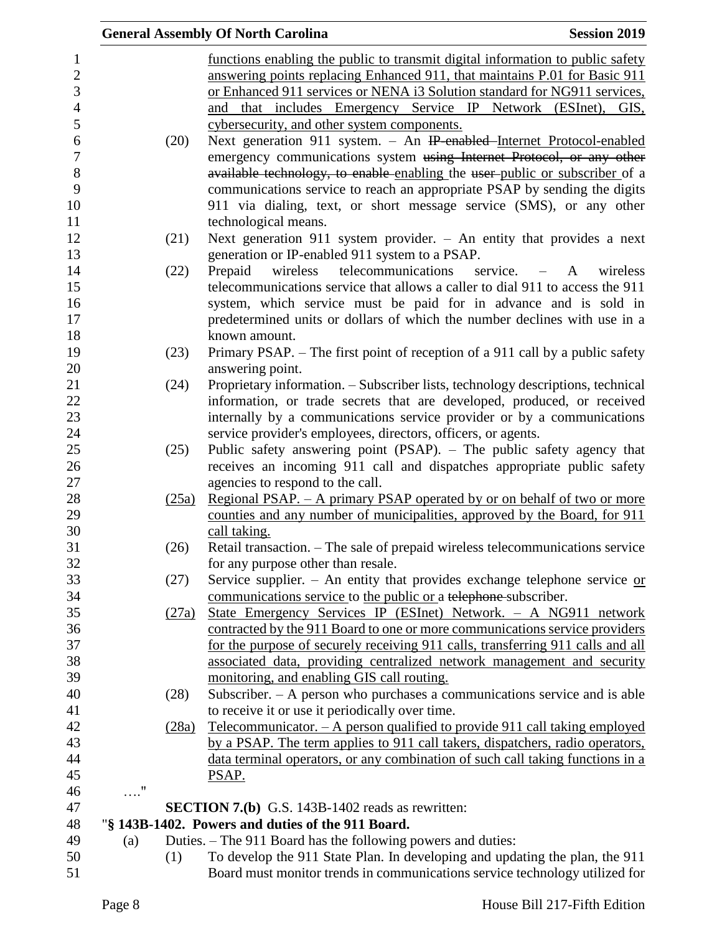|                |            |       | <b>General Assembly Of North Carolina</b><br><b>Session 2019</b>                                                                                          |
|----------------|------------|-------|-----------------------------------------------------------------------------------------------------------------------------------------------------------|
| $\mathbf{1}$   |            |       | functions enabling the public to transmit digital information to public safety                                                                            |
| $\overline{2}$ |            |       | answering points replacing Enhanced 911, that maintains P.01 for Basic 911                                                                                |
| 3              |            |       | or Enhanced 911 services or NENA i3 Solution standard for NG911 services,                                                                                 |
| $\overline{4}$ |            |       | and that includes Emergency Service IP Network (ESInet), GIS,                                                                                             |
| 5              |            |       | cybersecurity, and other system components.                                                                                                               |
| 6              |            | (20)  | Next generation 911 system. - An IP-enabled-Internet Protocol-enabled                                                                                     |
| $\overline{7}$ |            |       | emergency communications system using Internet Protocol, or any other                                                                                     |
| 8              |            |       | available technology, to enable enabling the user-public or subscriber of a                                                                               |
| 9              |            |       | communications service to reach an appropriate PSAP by sending the digits                                                                                 |
| 10             |            |       | 911 via dialing, text, or short message service (SMS), or any other                                                                                       |
| 11             |            |       | technological means.                                                                                                                                      |
| 12             |            | (21)  | Next generation 911 system provider. $-$ An entity that provides a next                                                                                   |
| 13             |            |       | generation or IP-enabled 911 system to a PSAP.                                                                                                            |
| 14             |            | (22)  | wireless telecommunications service. – A<br>Prepaid<br>wireless                                                                                           |
| 15             |            |       | telecommunications service that allows a caller to dial 911 to access the 911                                                                             |
| 16             |            |       | system, which service must be paid for in advance and is sold in                                                                                          |
| 17             |            |       | predetermined units or dollars of which the number declines with use in a                                                                                 |
| 18             |            |       | known amount.                                                                                                                                             |
| 19             |            | (23)  | Primary PSAP. – The first point of reception of a 911 call by a public safety                                                                             |
| 20             |            |       | answering point.                                                                                                                                          |
| 21             |            | (24)  | Proprietary information. - Subscriber lists, technology descriptions, technical                                                                           |
| 22             |            |       | information, or trade secrets that are developed, produced, or received                                                                                   |
| 23             |            |       | internally by a communications service provider or by a communications                                                                                    |
| 24             |            |       | service provider's employees, directors, officers, or agents.                                                                                             |
| 25             |            | (25)  | Public safety answering point (PSAP). - The public safety agency that                                                                                     |
| 26             |            |       | receives an incoming 911 call and dispatches appropriate public safety                                                                                    |
| 27             |            |       | agencies to respond to the call.                                                                                                                          |
| 28             |            | (25a) | <u>Regional PSAP. – A primary PSAP operated by or on behalf of two or more</u>                                                                            |
| 29             |            |       | counties and any number of municipalities, approved by the Board, for 911                                                                                 |
| 30             |            |       | call taking.                                                                                                                                              |
| 31             |            | (26)  | Retail transaction. - The sale of prepaid wireless telecommunications service                                                                             |
| 32             |            |       | for any purpose other than resale.                                                                                                                        |
| 33             |            | (27)  | Service supplier. - An entity that provides exchange telephone service $or$                                                                               |
| 34             |            |       | communications service to the public or a telephone subscriber.                                                                                           |
| 35             |            | (27a) | State Emergency Services IP (ESInet) Network. - A NG911 network                                                                                           |
| 36<br>37       |            |       | contracted by the 911 Board to one or more communications service providers                                                                               |
| 38             |            |       | for the purpose of securely receiving 911 calls, transferring 911 calls and all<br>associated data, providing centralized network management and security |
| 39             |            |       | monitoring, and enabling GIS call routing.                                                                                                                |
| 40             |            | (28)  | Subscriber. - A person who purchases a communications service and is able                                                                                 |
| 41             |            |       | to receive it or use it periodically over time.                                                                                                           |
| 42             |            | (28a) | Telecommunicator. $-$ A person qualified to provide 911 call taking employed                                                                              |
| 43             |            |       | by a PSAP. The term applies to 911 call takers, dispatchers, radio operators,                                                                             |
| 44             |            |       | data terminal operators, or any combination of such call taking functions in a                                                                            |
| 45             |            |       | PSAP.                                                                                                                                                     |
| 46             | $\ldots$ " |       |                                                                                                                                                           |
| 47             |            |       | <b>SECTION 7.(b)</b> G.S. 143B-1402 reads as rewritten:                                                                                                   |
| 48             |            |       | "§ 143B-1402. Powers and duties of the 911 Board.                                                                                                         |
| 49             | (a)        |       | Duties. – The 911 Board has the following powers and duties:                                                                                              |
| 50             |            | (1)   | To develop the 911 State Plan. In developing and updating the plan, the 911                                                                               |
| 51             |            |       | Board must monitor trends in communications service technology utilized for                                                                               |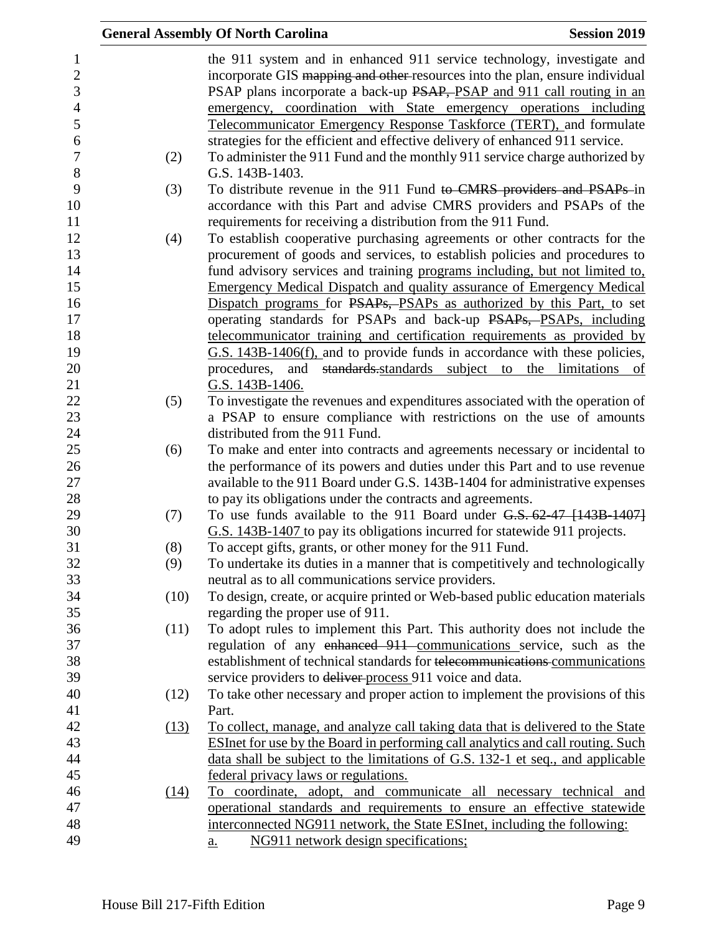|     |      | <b>General Assembly Of North Carolina</b>                                                                                                                                                                                                                                                             | <b>Session 2019</b> |
|-----|------|-------------------------------------------------------------------------------------------------------------------------------------------------------------------------------------------------------------------------------------------------------------------------------------------------------|---------------------|
|     |      | the 911 system and in enhanced 911 service technology, investigate and<br>incorporate GIS mapping and other resources into the plan, ensure individual<br>PSAP plans incorporate a back-up PSAP, PSAP and 911 call routing in an<br>emergency, coordination with State emergency operations including |                     |
|     |      | Telecommunicator Emergency Response Taskforce (TERT), and formulate                                                                                                                                                                                                                                   |                     |
| (2) |      | strategies for the efficient and effective delivery of enhanced 911 service.<br>To administer the 911 Fund and the monthly 911 service charge authorized by                                                                                                                                           |                     |
|     |      | G.S. 143B-1403.                                                                                                                                                                                                                                                                                       |                     |
| (3) |      | To distribute revenue in the 911 Fund to CMRS providers and PSAPs in                                                                                                                                                                                                                                  |                     |
|     |      | accordance with this Part and advise CMRS providers and PSAPs of the<br>requirements for receiving a distribution from the 911 Fund.                                                                                                                                                                  |                     |
| (4) |      | To establish cooperative purchasing agreements or other contracts for the                                                                                                                                                                                                                             |                     |
|     |      | procurement of goods and services, to establish policies and procedures to                                                                                                                                                                                                                            |                     |
|     |      | fund advisory services and training programs including, but not limited to,                                                                                                                                                                                                                           |                     |
|     |      | <b>Emergency Medical Dispatch and quality assurance of Emergency Medical</b>                                                                                                                                                                                                                          |                     |
|     |      | Dispatch programs for PSAPs, PSAPs as authorized by this Part, to set                                                                                                                                                                                                                                 |                     |
|     |      | operating standards for PSAPs and back-up PSAPs, PSAPs, including                                                                                                                                                                                                                                     |                     |
|     |      | telecommunicator training and certification requirements as provided by                                                                                                                                                                                                                               |                     |
|     |      | G.S. 143B-1406(f), and to provide funds in accordance with these policies,                                                                                                                                                                                                                            |                     |
|     |      | standards standards subject to the limitations of<br>procedures,<br>and                                                                                                                                                                                                                               |                     |
|     |      | G.S. 143B-1406.                                                                                                                                                                                                                                                                                       |                     |
| (5) |      | To investigate the revenues and expenditures associated with the operation of<br>a PSAP to ensure compliance with restrictions on the use of amounts                                                                                                                                                  |                     |
|     |      | distributed from the 911 Fund.                                                                                                                                                                                                                                                                        |                     |
| (6) |      | To make and enter into contracts and agreements necessary or incidental to                                                                                                                                                                                                                            |                     |
|     |      | the performance of its powers and duties under this Part and to use revenue                                                                                                                                                                                                                           |                     |
|     |      | available to the 911 Board under G.S. 143B-1404 for administrative expenses                                                                                                                                                                                                                           |                     |
|     |      | to pay its obligations under the contracts and agreements.                                                                                                                                                                                                                                            |                     |
| (7) |      | To use funds available to the 911 Board under G.S. 62-47 [143B-1407]                                                                                                                                                                                                                                  |                     |
|     |      | G.S. 143B-1407 to pay its obligations incurred for statewide 911 projects.                                                                                                                                                                                                                            |                     |
| (8) |      | To accept gifts, grants, or other money for the 911 Fund.                                                                                                                                                                                                                                             |                     |
| (9) |      | To undertake its duties in a manner that is competitively and technologically                                                                                                                                                                                                                         |                     |
|     |      | neutral as to all communications service providers.                                                                                                                                                                                                                                                   |                     |
|     | (10) | To design, create, or acquire printed or Web-based public education materials                                                                                                                                                                                                                         |                     |
|     |      | regarding the proper use of 911.                                                                                                                                                                                                                                                                      |                     |
|     | (11) | To adopt rules to implement this Part. This authority does not include the                                                                                                                                                                                                                            |                     |
|     |      | regulation of any enhanced 911 communications service, such as the                                                                                                                                                                                                                                    |                     |
|     |      | establishment of technical standards for telecommunications communications                                                                                                                                                                                                                            |                     |
|     |      | service providers to deliver process 911 voice and data.                                                                                                                                                                                                                                              |                     |
|     | (12) | To take other necessary and proper action to implement the provisions of this                                                                                                                                                                                                                         |                     |
|     |      | Part.                                                                                                                                                                                                                                                                                                 |                     |
|     | (13) | To collect, manage, and analyze call taking data that is delivered to the State                                                                                                                                                                                                                       |                     |
|     |      | <b>ESInet for use by the Board in performing call analytics and call routing. Such</b>                                                                                                                                                                                                                |                     |
|     |      | data shall be subject to the limitations of G.S. 132-1 et seq., and applicable                                                                                                                                                                                                                        |                     |
|     |      | federal privacy laws or regulations.                                                                                                                                                                                                                                                                  |                     |
|     | (14) | To coordinate, adopt, and communicate all necessary technical and                                                                                                                                                                                                                                     |                     |
|     |      | operational standards and requirements to ensure an effective statewide                                                                                                                                                                                                                               |                     |
|     |      | interconnected NG911 network, the State ESInet, including the following:                                                                                                                                                                                                                              |                     |
|     |      | NG911 network design specifications;<br>$\underline{a}$ .                                                                                                                                                                                                                                             |                     |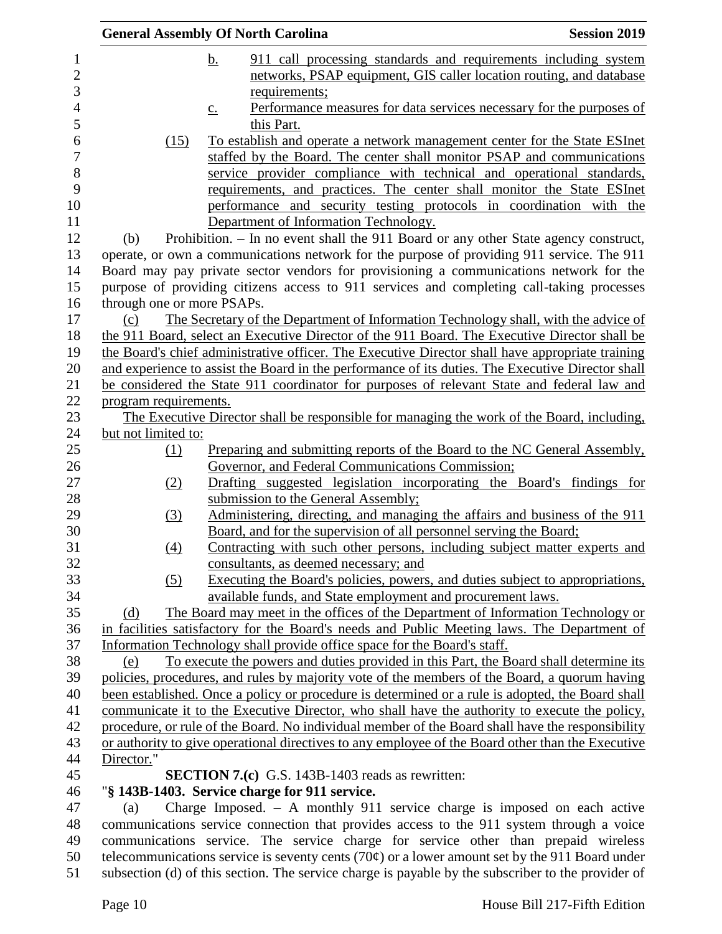|                            | <b>General Assembly Of North Carolina</b>                                                                | <b>Session 2019</b> |
|----------------------------|----------------------------------------------------------------------------------------------------------|---------------------|
|                            | 911 call processing standards and requirements including system<br>b.                                    |                     |
|                            | networks, PSAP equipment, GIS caller location routing, and database                                      |                     |
|                            | requirements;                                                                                            |                     |
|                            | Performance measures for data services necessary for the purposes of<br>$\underline{c}$ .                |                     |
|                            | this Part.                                                                                               |                     |
| (15)                       | To establish and operate a network management center for the State ESInet                                |                     |
|                            | staffed by the Board. The center shall monitor PSAP and communications                                   |                     |
|                            | service provider compliance with technical and operational standards,                                    |                     |
|                            | requirements, and practices. The center shall monitor the State ESInet                                   |                     |
|                            | performance and security testing protocols in coordination with the                                      |                     |
|                            | Department of Information Technology.                                                                    |                     |
| (b)                        | Prohibition. - In no event shall the 911 Board or any other State agency construct,                      |                     |
|                            | operate, or own a communications network for the purpose of providing 911 service. The 911               |                     |
|                            | Board may pay private sector vendors for provisioning a communications network for the                   |                     |
|                            | purpose of providing citizens access to 911 services and completing call-taking processes                |                     |
| through one or more PSAPs. |                                                                                                          |                     |
| (c)                        | The Secretary of the Department of Information Technology shall, with the advice of                      |                     |
|                            | the 911 Board, select an Executive Director of the 911 Board. The Executive Director shall be            |                     |
|                            | the Board's chief administrative officer. The Executive Director shall have appropriate training         |                     |
|                            | and experience to assist the Board in the performance of its duties. The Executive Director shall        |                     |
|                            | be considered the State 911 coordinator for purposes of relevant State and federal law and               |                     |
| program requirements.      |                                                                                                          |                     |
| but not limited to:        | The Executive Director shall be responsible for managing the work of the Board, including,               |                     |
| (1)                        | Preparing and submitting reports of the Board to the NC General Assembly,                                |                     |
|                            | Governor, and Federal Communications Commission;                                                         |                     |
| (2)                        | Drafting suggested legislation incorporating the Board's findings for                                    |                     |
|                            | submission to the General Assembly;                                                                      |                     |
| (3)                        | Administering, directing, and managing the affairs and business of the 911                               |                     |
|                            | Board, and for the supervision of all personnel serving the Board;                                       |                     |
| (4)                        | Contracting with such other persons, including subject matter experts and                                |                     |
|                            | consultants, as deemed necessary; and                                                                    |                     |
| (5)                        | Executing the Board's policies, powers, and duties subject to appropriations,                            |                     |
|                            | available funds, and State employment and procurement laws.                                              |                     |
| (d)                        | The Board may meet in the offices of the Department of Information Technology or                         |                     |
|                            | in facilities satisfactory for the Board's needs and Public Meeting laws. The Department of              |                     |
|                            | Information Technology shall provide office space for the Board's staff.                                 |                     |
| (e)                        | To execute the powers and duties provided in this Part, the Board shall determine its                    |                     |
|                            | policies, procedures, and rules by majority vote of the members of the Board, a quorum having            |                     |
|                            | been established. Once a policy or procedure is determined or a rule is adopted, the Board shall         |                     |
|                            | communicate it to the Executive Director, who shall have the authority to execute the policy,            |                     |
|                            | procedure, or rule of the Board. No individual member of the Board shall have the responsibility         |                     |
|                            | or authority to give operational directives to any employee of the Board other than the Executive        |                     |
| Director."                 |                                                                                                          |                     |
|                            | <b>SECTION 7.(c)</b> G.S. 143B-1403 reads as rewritten:                                                  |                     |
|                            | "§ 143B-1403. Service charge for 911 service.                                                            |                     |
| (a)                        | Charge Imposed. $-$ A monthly 911 service charge is imposed on each active                               |                     |
|                            | communications service connection that provides access to the 911 system through a voice                 |                     |
|                            | communications service. The service charge for service other than prepaid wireless                       |                     |
|                            | telecommunications service is seventy cents (70 $\varphi$ ) or a lower amount set by the 911 Board under |                     |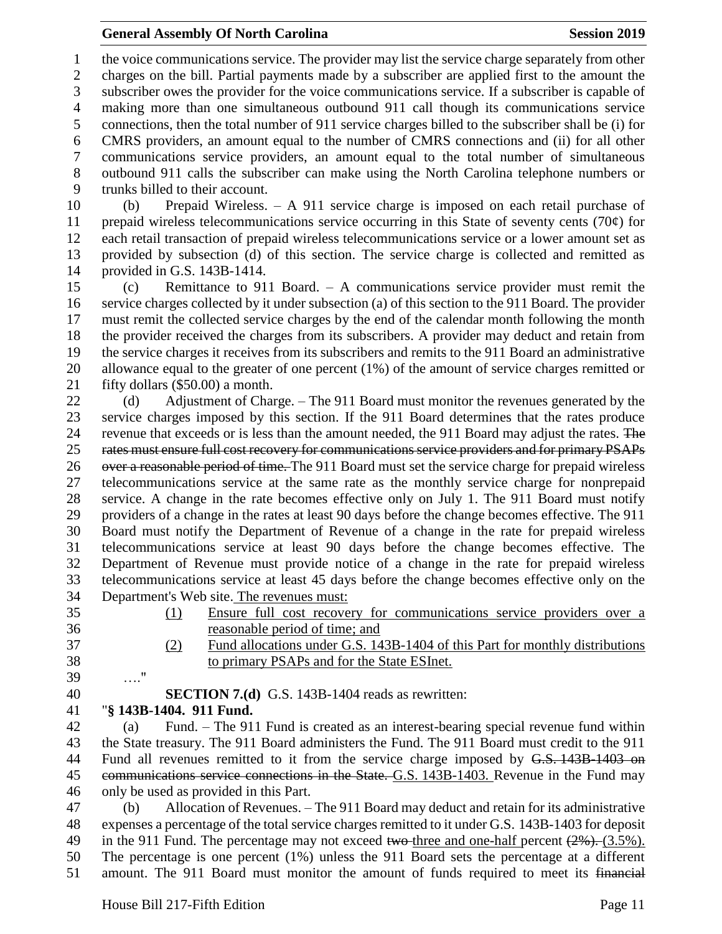### **General Assembly Of North Carolina Session 2019 Session 2019**

 the voice communications service. The provider may list the service charge separately from other charges on the bill. Partial payments made by a subscriber are applied first to the amount the subscriber owes the provider for the voice communications service. If a subscriber is capable of making more than one simultaneous outbound 911 call though its communications service connections, then the total number of 911 service charges billed to the subscriber shall be (i) for CMRS providers, an amount equal to the number of CMRS connections and (ii) for all other communications service providers, an amount equal to the total number of simultaneous outbound 911 calls the subscriber can make using the North Carolina telephone numbers or trunks billed to their account.

 (b) Prepaid Wireless. – A 911 service charge is imposed on each retail purchase of 11 prepaid wireless telecommunications service occurring in this State of seventy cents (70 $\varphi$ ) for each retail transaction of prepaid wireless telecommunications service or a lower amount set as provided by subsection (d) of this section. The service charge is collected and remitted as provided in G.S. 143B-1414.

 (c) Remittance to 911 Board. – A communications service provider must remit the service charges collected by it under subsection (a) of this section to the 911 Board. The provider must remit the collected service charges by the end of the calendar month following the month the provider received the charges from its subscribers. A provider may deduct and retain from the service charges it receives from its subscribers and remits to the 911 Board an administrative allowance equal to the greater of one percent (1%) of the amount of service charges remitted or fifty dollars (\$50.00) a month.

22 (d) Adjustment of Charge. – The 911 Board must monitor the revenues generated by the service charges imposed by this section. If the 911 Board determines that the rates produce 24 revenue that exceeds or is less than the amount needed, the 911 Board may adjust the rates. The rates must ensure full cost recovery for communications service providers and for primary PSAPs 26 over a reasonable period of time. The 911 Board must set the service charge for prepaid wireless telecommunications service at the same rate as the monthly service charge for nonprepaid service. A change in the rate becomes effective only on July 1. The 911 Board must notify providers of a change in the rates at least 90 days before the change becomes effective. The 911 Board must notify the Department of Revenue of a change in the rate for prepaid wireless telecommunications service at least 90 days before the change becomes effective. The Department of Revenue must provide notice of a change in the rate for prepaid wireless telecommunications service at least 45 days before the change becomes effective only on the Department's Web site. The revenues must:

- 
- 
- (1) Ensure full cost recovery for communications service providers over a reasonable period of time; and
- (2) Fund allocations under G.S. 143B-1404 of this Part for monthly distributions
- to primary PSAPs and for the State ESInet.
- …."

**SECTION 7.(d)** G.S. 143B-1404 reads as rewritten:

"**§ 143B-1404. 911 Fund.**

 (a) Fund. – The 911 Fund is created as an interest-bearing special revenue fund within the State treasury. The 911 Board administers the Fund. The 911 Board must credit to the 911 44 Fund all revenues remitted to it from the service charge imposed by G.S. 143B-1403 on communications service connections in the State. G.S. 143B-1403. Revenue in the Fund may only be used as provided in this Part.

 (b) Allocation of Revenues. – The 911 Board may deduct and retain for its administrative expenses a percentage of the total service charges remitted to it under G.S. 143B-1403 for deposit 49 in the 911 Fund. The percentage may not exceed two-three and one-half percent  $(2\%)$ . (3.5%). The percentage is one percent (1%) unless the 911 Board sets the percentage at a different amount. The 911 Board must monitor the amount of funds required to meet its financial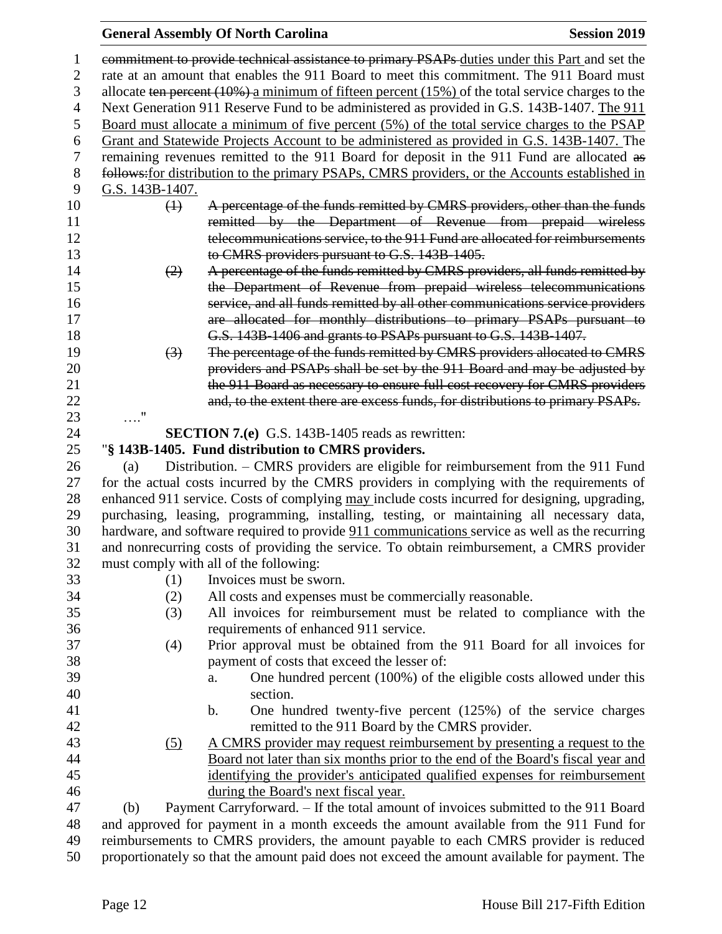## **General Assembly Of North Carolina Session 2019**

|            |                   | commitment to provide technical assistance to primary PSAPs duties under this Part and set the          |
|------------|-------------------|---------------------------------------------------------------------------------------------------------|
|            |                   | rate at an amount that enables the 911 Board to meet this commitment. The 911 Board must                |
|            |                   | allocate ten percent $(10\%)$ a minimum of fifteen percent $(15\%)$ of the total service charges to the |
|            |                   | Next Generation 911 Reserve Fund to be administered as provided in G.S. 143B-1407. The 911              |
|            |                   | Board must allocate a minimum of five percent (5%) of the total service charges to the PSAP             |
|            |                   | Grant and Statewide Projects Account to be administered as provided in G.S. 143B-1407. The              |
|            |                   | remaining revenues remitted to the 911 Board for deposit in the 911 Fund are allocated as               |
|            |                   | follows: for distribution to the primary PSAPs, CMRS providers, or the Accounts established in          |
|            | G.S. 143B-1407.   |                                                                                                         |
|            | $\leftrightarrow$ | A percentage of the funds remitted by CMRS providers, other than the funds                              |
|            |                   | remitted by the Department of Revenue from prepaid wireless                                             |
|            |                   | telecommunications service, to the 911 Fund are allocated for reimbursements                            |
|            |                   | to CMRS providers pursuant to G.S. 143B-1405.                                                           |
|            | (2)               | A percentage of the funds remitted by CMRS providers, all funds remitted by                             |
|            |                   | the Department of Revenue from prepaid wireless telecommunications                                      |
|            |                   | service, and all funds remitted by all other communications service providers                           |
|            |                   | are allocated for monthly distributions to primary PSAPs pursuant to                                    |
|            |                   | G.S. 143B 1406 and grants to PSAPs pursuant to G.S. 143B 1407.                                          |
|            | $\left(3\right)$  | The percentage of the funds remitted by CMRS providers allocated to CMRS                                |
|            |                   | providers and PSAPs shall be set by the 911 Board and may be adjusted by                                |
|            |                   | the 911 Board as necessary to ensure full cost recovery for CMRS providers                              |
|            |                   | and, to the extent there are excess funds, for distributions to primary PSAPs.                          |
| $\ldots$ " |                   |                                                                                                         |
|            |                   | <b>SECTION 7.(e)</b> G.S. 143B-1405 reads as rewritten:                                                 |
|            |                   | "§ 143B-1405. Fund distribution to CMRS providers.                                                      |
| (a)        |                   | Distribution. – CMRS providers are eligible for reimbursement from the 911 Fund                         |
|            |                   | for the actual costs incurred by the CMRS providers in complying with the requirements of               |
|            |                   | enhanced 911 service. Costs of complying may include costs incurred for designing, upgrading,           |
|            |                   | purchasing, leasing, programming, installing, testing, or maintaining all necessary data,               |
|            |                   | hardware, and software required to provide 911 communications service as well as the recurring          |
|            |                   | and nonrecurring costs of providing the service. To obtain reimbursement, a CMRS provider               |
|            |                   | must comply with all of the following:                                                                  |
|            | (1)               | Invoices must be sworn.                                                                                 |
|            | (2)               | All costs and expenses must be commercially reasonable.                                                 |
|            | (3)               | All invoices for reimbursement must be related to compliance with the                                   |
|            |                   | requirements of enhanced 911 service.                                                                   |
|            | (4)               | Prior approval must be obtained from the 911 Board for all invoices for                                 |
|            |                   | payment of costs that exceed the lesser of:                                                             |
|            |                   | One hundred percent (100%) of the eligible costs allowed under this<br>a.                               |
|            |                   | section.                                                                                                |
|            |                   | One hundred twenty-five percent $(125%)$ of the service charges<br>$\mathbf b$ .                        |
|            |                   | remitted to the 911 Board by the CMRS provider.                                                         |
|            | <u>(5)</u>        | A CMRS provider may request reimbursement by presenting a request to the                                |
|            |                   | Board not later than six months prior to the end of the Board's fiscal year and                         |
|            |                   | identifying the provider's anticipated qualified expenses for reimbursement                             |
|            |                   | during the Board's next fiscal year.                                                                    |
| (b)        |                   | Payment Carryforward. - If the total amount of invoices submitted to the 911 Board                      |
|            |                   | and approved for payment in a month exceeds the amount available from the 911 Fund for                  |
|            |                   | reimbursements to CMRS providers, the amount payable to each CMRS provider is reduced                   |

proportionately so that the amount paid does not exceed the amount available for payment. The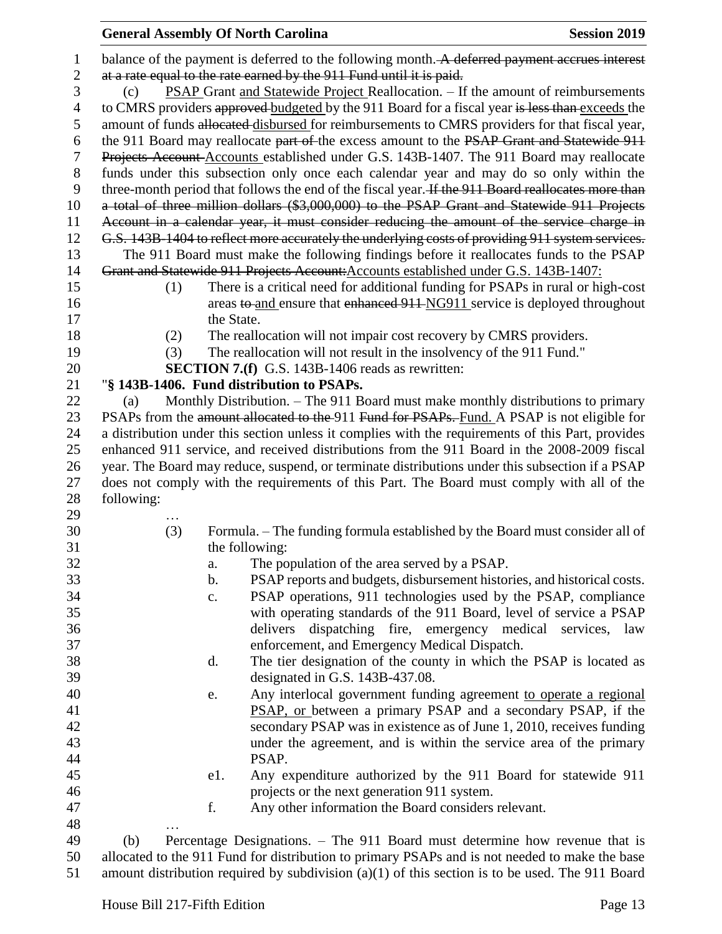| 1              |                                                                                                 |            | balance of the payment is deferred to the following month. A deferred payment accrues interest     |  |  |
|----------------|-------------------------------------------------------------------------------------------------|------------|----------------------------------------------------------------------------------------------------|--|--|
| $\mathbf{2}$   |                                                                                                 |            | at a rate equal to the rate earned by the 911 Fund until it is paid.                               |  |  |
| 3              | (c)                                                                                             |            | <b>PSAP Grant and Statewide Project Reallocation.</b> – If the amount of reimbursements            |  |  |
| $\overline{4}$ | to CMRS providers approved budgeted by the 911 Board for a fiscal year is less than exceeds the |            |                                                                                                    |  |  |
| 5              |                                                                                                 |            | amount of funds allocated disbursed for reimbursements to CMRS providers for that fiscal year,     |  |  |
| 6              |                                                                                                 |            | the 911 Board may reallocate part of the excess amount to the PSAP Grant and Statewide 911         |  |  |
| 7              |                                                                                                 |            | Projects Account Accounts established under G.S. 143B-1407. The 911 Board may reallocate           |  |  |
| 8              |                                                                                                 |            | funds under this subsection only once each calendar year and may do so only within the             |  |  |
| 9              |                                                                                                 |            | three-month period that follows the end of the fiscal year. If the 911 Board reallocates more than |  |  |
| 10             |                                                                                                 |            | a total of three million dollars (\$3,000,000) to the PSAP Grant and Statewide 911 Projects        |  |  |
| 11             |                                                                                                 |            | Account in a calendar year, it must consider reducing the amount of the service charge in          |  |  |
| 12             |                                                                                                 |            | G.S. 143B-1404 to reflect more accurately the underlying costs of providing 911 system services.   |  |  |
| 13             |                                                                                                 |            | The 911 Board must make the following findings before it reallocates funds to the PSAP             |  |  |
| 14             |                                                                                                 |            | Grant and Statewide 911 Projects Account: Accounts established under G.S. 143B-1407:               |  |  |
| 15             | (1)                                                                                             |            | There is a critical need for additional funding for PSAPs in rural or high-cost                    |  |  |
| 16             |                                                                                                 |            | areas to and ensure that enhanced 911-NG911 service is deployed throughout                         |  |  |
| 17             |                                                                                                 | the State. |                                                                                                    |  |  |
|                |                                                                                                 |            |                                                                                                    |  |  |
| 18             | (2)                                                                                             |            | The reallocation will not impair cost recovery by CMRS providers.                                  |  |  |
| 19             | (3)                                                                                             |            | The reallocation will not result in the insolvency of the 911 Fund."                               |  |  |
| 20             |                                                                                                 |            | <b>SECTION 7.(f)</b> G.S. 143B-1406 reads as rewritten:                                            |  |  |
| 21             |                                                                                                 |            | "§ 143B-1406. Fund distribution to PSAPs.                                                          |  |  |
| 22             | (a)                                                                                             |            | Monthly Distribution. – The 911 Board must make monthly distributions to primary                   |  |  |
| 23             |                                                                                                 |            | PSAPs from the amount allocated to the 911 Fund for PSAPs. Fund. A PSAP is not eligible for        |  |  |
| 24             |                                                                                                 |            | a distribution under this section unless it complies with the requirements of this Part, provides  |  |  |
| 25             |                                                                                                 |            | enhanced 911 service, and received distributions from the 911 Board in the 2008-2009 fiscal        |  |  |
| 26             |                                                                                                 |            | year. The Board may reduce, suspend, or terminate distributions under this subsection if a PSAP    |  |  |
| 27             |                                                                                                 |            | does not comply with the requirements of this Part. The Board must comply with all of the          |  |  |
| 28             | following:                                                                                      |            |                                                                                                    |  |  |
| 29             |                                                                                                 |            |                                                                                                    |  |  |
| 30             | (3)                                                                                             |            | Formula. – The funding formula established by the Board must consider all of                       |  |  |
| 31             |                                                                                                 |            | the following:                                                                                     |  |  |
| 32             |                                                                                                 | a.         | The population of the area served by a PSAP.                                                       |  |  |
| 33             |                                                                                                 | b.         | PSAP reports and budgets, disbursement histories, and historical costs.                            |  |  |
| 34             |                                                                                                 | c.         | PSAP operations, 911 technologies used by the PSAP, compliance                                     |  |  |
| 35             |                                                                                                 |            | with operating standards of the 911 Board, level of service a PSAP                                 |  |  |
| 36             |                                                                                                 |            | delivers dispatching fire, emergency medical services, law                                         |  |  |
| 37             |                                                                                                 |            | enforcement, and Emergency Medical Dispatch.                                                       |  |  |
| 38             |                                                                                                 | d.         | The tier designation of the county in which the PSAP is located as                                 |  |  |
| 39             |                                                                                                 |            | designated in G.S. 143B-437.08.                                                                    |  |  |
| 40             |                                                                                                 | e.         | Any interlocal government funding agreement to operate a regional                                  |  |  |
| 41             |                                                                                                 |            | PSAP, or between a primary PSAP and a secondary PSAP, if the                                       |  |  |
| 42             |                                                                                                 |            | secondary PSAP was in existence as of June 1, 2010, receives funding                               |  |  |
| 43             |                                                                                                 |            | under the agreement, and is within the service area of the primary                                 |  |  |
| 44             |                                                                                                 |            | PSAP.                                                                                              |  |  |
| 45             |                                                                                                 | e1.        | Any expenditure authorized by the 911 Board for statewide 911                                      |  |  |
| 46             |                                                                                                 |            | projects or the next generation 911 system.                                                        |  |  |
| 47             |                                                                                                 | f.         | Any other information the Board considers relevant.                                                |  |  |
| 48             |                                                                                                 |            |                                                                                                    |  |  |
| 49             | (b)                                                                                             |            | Percentage Designations. - The 911 Board must determine how revenue that is                        |  |  |
| 50             | allocated to the 911 Fund for distribution to primary PSAPs and is not needed to make the base  |            |                                                                                                    |  |  |

amount distribution required by subdivision (a)(1) of this section is to be used. The 911 Board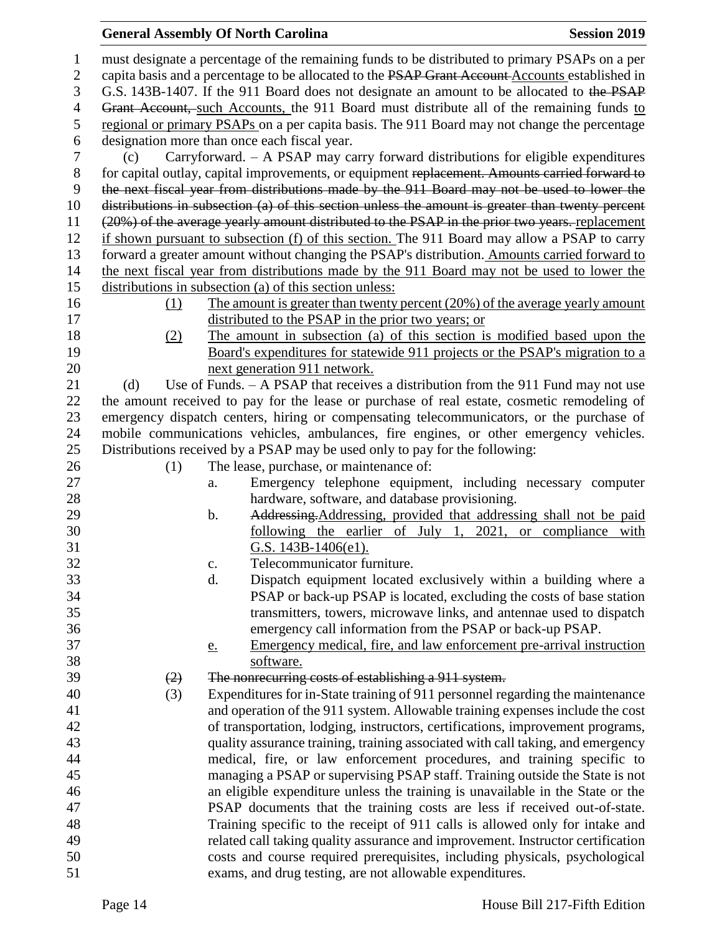### **General Assembly Of North Carolina Session 2019 Session 2019**

 must designate a percentage of the remaining funds to be distributed to primary PSAPs on a per 2 capita basis and a percentage to be allocated to the PSAP Grant Account Accounts established in G.S. 143B-1407. If the 911 Board does not designate an amount to be allocated to the PSAP 4 Grant Account, such Accounts, the 911 Board must distribute all of the remaining funds to regional or primary PSAPs on a per capita basis. The 911 Board may not change the percentage designation more than once each fiscal year. (c) Carryforward. – A PSAP may carry forward distributions for eligible expenditures for capital outlay, capital improvements, or equipment replacement. Amounts carried forward to the next fiscal year from distributions made by the 911 Board may not be used to lower the distributions in subsection (a) of this section unless the amount is greater than twenty percent (20%) of the average yearly amount distributed to the PSAP in the prior two years. replacement if shown pursuant to subsection (f) of this section. The 911 Board may allow a PSAP to carry forward a greater amount without changing the PSAP's distribution. Amounts carried forward to the next fiscal year from distributions made by the 911 Board may not be used to lower the distributions in subsection (a) of this section unless: (1) The amount is greater than twenty percent (20%) of the average yearly amount distributed to the PSAP in the prior two years; or (2) The amount in subsection (a) of this section is modified based upon the Board's expenditures for statewide 911 projects or the PSAP's migration to a next generation 911 network. 21 (d) Use of Funds. – A PSAP that receives a distribution from the 911 Fund may not use the amount received to pay for the lease or purchase of real estate, cosmetic remodeling of emergency dispatch centers, hiring or compensating telecommunicators, or the purchase of mobile communications vehicles, ambulances, fire engines, or other emergency vehicles. Distributions received by a PSAP may be used only to pay for the following: 26 (1) The lease, purchase, or maintenance of: a. Emergency telephone equipment, including necessary computer hardware, software, and database provisioning. 29 b. Addressing. Addressing, provided that addressing shall not be paid following the earlier of July 1, 2021, or compliance with G.S. 143B-1406(e1). c. Telecommunicator furniture. d. Dispatch equipment located exclusively within a building where a PSAP or back-up PSAP is located, excluding the costs of base station transmitters, towers, microwave links, and antennae used to dispatch emergency call information from the PSAP or back-up PSAP. e. Emergency medical, fire, and law enforcement pre-arrival instruction software.  $(2)$  The nonrecurring costs of establishing a 911 system. (3) Expenditures for in-State training of 911 personnel regarding the maintenance and operation of the 911 system. Allowable training expenses include the cost of transportation, lodging, instructors, certifications, improvement programs, quality assurance training, training associated with call taking, and emergency medical, fire, or law enforcement procedures, and training specific to managing a PSAP or supervising PSAP staff. Training outside the State is not an eligible expenditure unless the training is unavailable in the State or the PSAP documents that the training costs are less if received out-of-state. Training specific to the receipt of 911 calls is allowed only for intake and related call taking quality assurance and improvement. Instructor certification costs and course required prerequisites, including physicals, psychological exams, and drug testing, are not allowable expenditures.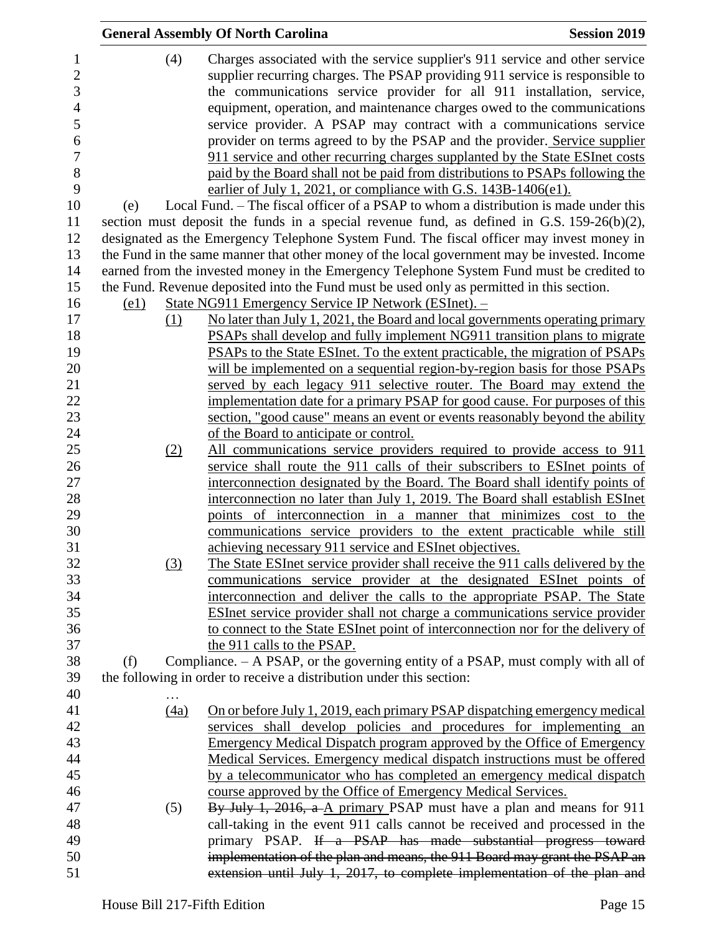|      | <b>General Assembly Of North Carolina</b>                                                     | <b>Session 2019</b> |
|------|-----------------------------------------------------------------------------------------------|---------------------|
| (4)  | Charges associated with the service supplier's 911 service and other service                  |                     |
|      | supplier recurring charges. The PSAP providing 911 service is responsible to                  |                     |
|      | the communications service provider for all 911 installation, service,                        |                     |
|      | equipment, operation, and maintenance charges owed to the communications                      |                     |
|      | service provider. A PSAP may contract with a communications service                           |                     |
|      | provider on terms agreed to by the PSAP and the provider. Service supplier                    |                     |
|      | 911 service and other recurring charges supplanted by the State ESInet costs                  |                     |
|      | paid by the Board shall not be paid from distributions to PSAPs following the                 |                     |
|      | earlier of July 1, 2021, or compliance with G.S. 143B-1406(e1).                               |                     |
| (e)  | Local Fund. – The fiscal officer of a PSAP to whom a distribution is made under this          |                     |
|      | section must deposit the funds in a special revenue fund, as defined in G.S. $159-26(b)(2)$ , |                     |
|      | designated as the Emergency Telephone System Fund. The fiscal officer may invest money in     |                     |
|      | the Fund in the same manner that other money of the local government may be invested. Income  |                     |
|      | earned from the invested money in the Emergency Telephone System Fund must be credited to     |                     |
|      | the Fund. Revenue deposited into the Fund must be used only as permitted in this section.     |                     |
| (e1) | State NG911 Emergency Service IP Network (ESInet). -                                          |                     |
| (1)  | No later than July 1, 2021, the Board and local governments operating primary                 |                     |
|      | PSAPs shall develop and fully implement NG911 transition plans to migrate                     |                     |
|      | PSAPs to the State ESInet. To the extent practicable, the migration of PSAPs                  |                     |
|      | will be implemented on a sequential region-by-region basis for those PSAPs                    |                     |
|      | served by each legacy 911 selective router. The Board may extend the                          |                     |
|      | implementation date for a primary PSAP for good cause. For purposes of this                   |                     |
|      | section, "good cause" means an event or events reasonably beyond the ability                  |                     |
|      | of the Board to anticipate or control.                                                        |                     |
| (2)  | All communications service providers required to provide access to 911                        |                     |
|      | service shall route the 911 calls of their subscribers to ESInet points of                    |                     |
|      | interconnection designated by the Board. The Board shall identify points of                   |                     |
|      | interconnection no later than July 1, 2019. The Board shall establish ESInet                  |                     |
|      | points of interconnection in a manner that minimizes cost to the                              |                     |
|      | communications service providers to the extent practicable while still                        |                     |
|      | achieving necessary 911 service and ESInet objectives.                                        |                     |
| (3)  | The State ESInet service provider shall receive the 911 calls delivered by the                |                     |
|      | communications service provider at the designated ESInet points of                            |                     |
|      | interconnection and deliver the calls to the appropriate PSAP. The State                      |                     |
|      | <b>ESInet service provider shall not charge a communications service provider</b>             |                     |
|      | to connect to the State ESInet point of interconnection nor for the delivery of               |                     |
|      | the 911 calls to the PSAP.                                                                    |                     |
| (f)  | Compliance. – A PSAP, or the governing entity of a PSAP, must comply with all of              |                     |
|      | the following in order to receive a distribution under this section:                          |                     |
|      |                                                                                               |                     |
| (4a) | On or before July 1, 2019, each primary PSAP dispatching emergency medical                    |                     |
|      | services shall develop policies and procedures for implementing an                            |                     |
|      | <b>Emergency Medical Dispatch program approved by the Office of Emergency</b>                 |                     |
|      | Medical Services. Emergency medical dispatch instructions must be offered                     |                     |
|      | by a telecommunicator who has completed an emergency medical dispatch                         |                     |
|      | course approved by the Office of Emergency Medical Services.                                  |                     |
| (5)  | By July 1, 2016, a A primary PSAP must have a plan and means for 911                          |                     |
|      | call-taking in the event 911 calls cannot be received and processed in the                    |                     |
|      | primary PSAP. If a PSAP has made substantial progress toward                                  |                     |
|      | implementation of the plan and means, the 911 Board may grant the PSAP an                     |                     |
|      | extension until July 1, 2017, to complete implementation of the plan and                      |                     |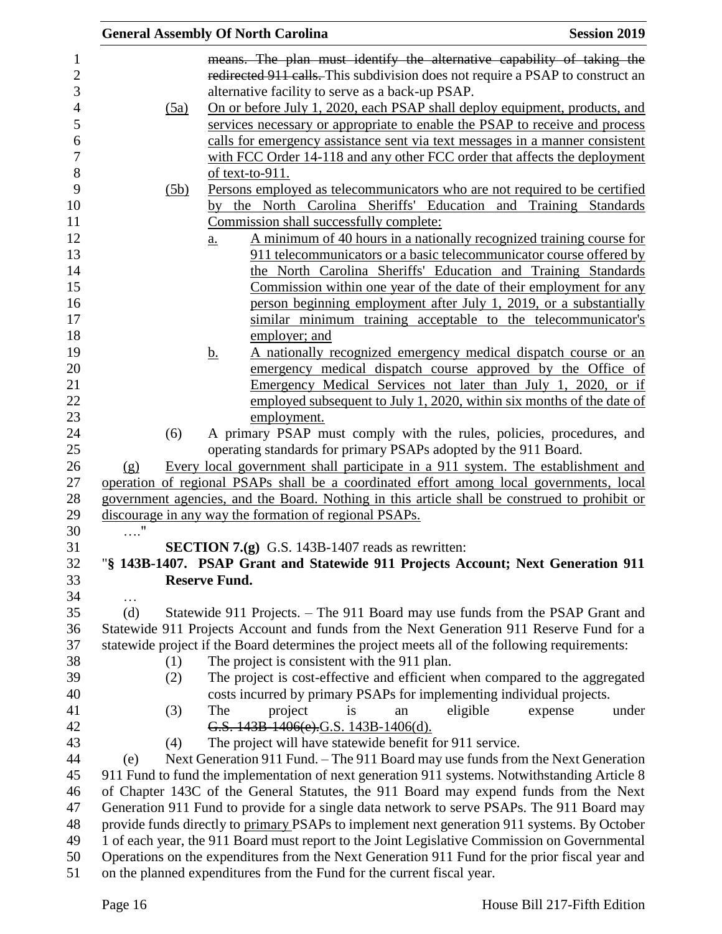|            |      | <b>General Assembly Of North Carolina</b>                                                      | <b>Session 2019</b> |
|------------|------|------------------------------------------------------------------------------------------------|---------------------|
|            |      | means. The plan must identify the alternative capability of taking the                         |                     |
|            |      | redirected 911 calls. This subdivision does not require a PSAP to construct an                 |                     |
|            |      | alternative facility to serve as a back-up PSAP.                                               |                     |
|            | (5a) | On or before July 1, 2020, each PSAP shall deploy equipment, products, and                     |                     |
|            |      | services necessary or appropriate to enable the PSAP to receive and process                    |                     |
|            |      | calls for emergency assistance sent via text messages in a manner consistent                   |                     |
|            |      | with FCC Order 14-118 and any other FCC order that affects the deployment                      |                     |
|            |      | of text-to-911.                                                                                |                     |
|            | (5b) | Persons employed as telecommunicators who are not required to be certified                     |                     |
|            |      | by the North Carolina Sheriffs' Education and Training Standards                               |                     |
|            |      | Commission shall successfully complete:                                                        |                     |
|            |      | A minimum of 40 hours in a nationally recognized training course for<br>$\underline{a}$ .      |                     |
|            |      | 911 telecommunicators or a basic telecommunicator course offered by                            |                     |
|            |      | the North Carolina Sheriffs' Education and Training Standards                                  |                     |
|            |      | Commission within one year of the date of their employment for any                             |                     |
|            |      | person beginning employment after July 1, 2019, or a substantially                             |                     |
|            |      | similar minimum training acceptable to the telecommunicator's                                  |                     |
|            |      | employer; and                                                                                  |                     |
|            |      | A nationally recognized emergency medical dispatch course or an<br><u>b.</u>                   |                     |
|            |      | emergency medical dispatch course approved by the Office of                                    |                     |
|            |      | Emergency Medical Services not later than July 1, 2020, or if                                  |                     |
|            |      | employed subsequent to July 1, 2020, within six months of the date of                          |                     |
|            |      | employment.                                                                                    |                     |
|            | (6)  | A primary PSAP must comply with the rules, policies, procedures, and                           |                     |
|            |      | operating standards for primary PSAPs adopted by the 911 Board.                                |                     |
| (g)        |      | Every local government shall participate in a 911 system. The establishment and                |                     |
|            |      | operation of regional PSAPs shall be a coordinated effort among local governments, local       |                     |
|            |      | government agencies, and the Board. Nothing in this article shall be construed to prohibit or  |                     |
|            |      | discourage in any way the formation of regional PSAPs.                                         |                     |
| $\ldots$ " |      |                                                                                                |                     |
|            |      | SECTION 7.(g) G.S. 143B-1407 reads as rewritten:                                               |                     |
|            |      | "§ 143B-1407. PSAP Grant and Statewide 911 Projects Account; Next Generation 911               |                     |
|            |      | <b>Reserve Fund.</b>                                                                           |                     |
| .          |      |                                                                                                |                     |
| (d)        |      | Statewide 911 Projects. – The 911 Board may use funds from the PSAP Grant and                  |                     |
|            |      | Statewide 911 Projects Account and funds from the Next Generation 911 Reserve Fund for a       |                     |
|            |      | statewide project if the Board determines the project meets all of the following requirements: |                     |
|            | (1)  | The project is consistent with the 911 plan.                                                   |                     |
|            | (2)  | The project is cost-effective and efficient when compared to the aggregated                    |                     |
|            |      | costs incurred by primary PSAPs for implementing individual projects.                          |                     |
|            | (3)  | eligible<br>The<br>project<br>is<br>an                                                         | expense<br>under    |
|            |      | G.S. 143B-1406(e).G.S. 143B-1406(d).                                                           |                     |
|            | (4)  | The project will have statewide benefit for 911 service.                                       |                     |
| (e)        |      | Next Generation 911 Fund. – The 911 Board may use funds from the Next Generation               |                     |
|            |      | 911 Fund to fund the implementation of next generation 911 systems. Notwithstanding Article 8  |                     |
|            |      | of Chapter 143C of the General Statutes, the 911 Board may expend funds from the Next          |                     |
|            |      | Generation 911 Fund to provide for a single data network to serve PSAPs. The 911 Board may     |                     |
|            |      |                                                                                                |                     |
|            |      | provide funds directly to primary PSAPs to implement next generation 911 systems. By October   |                     |
|            |      | 1 of each year, the 911 Board must report to the Joint Legislative Commission on Governmental  |                     |
|            |      | Operations on the expenditures from the Next Generation 911 Fund for the prior fiscal year and |                     |
|            |      | on the planned expenditures from the Fund for the current fiscal year.                         |                     |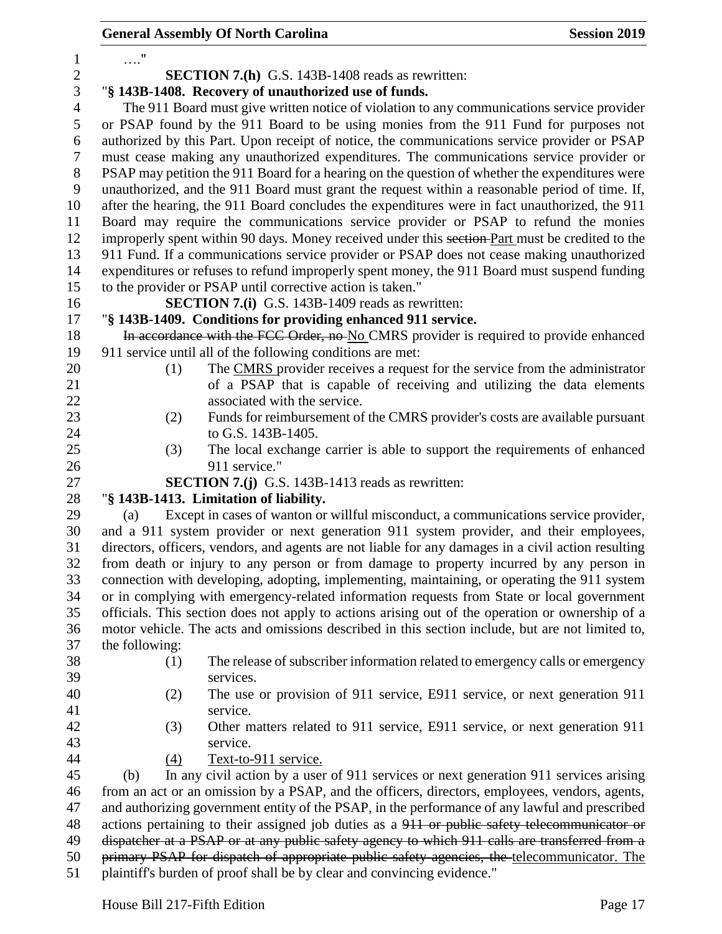|                |                                                                                                                                                                                                | <b>General Assembly Of North Carolina</b>                                                           | <b>Session 2019</b> |  |  |  |  |
|----------------|------------------------------------------------------------------------------------------------------------------------------------------------------------------------------------------------|-----------------------------------------------------------------------------------------------------|---------------------|--|--|--|--|
| 1              | $\ldots$ "                                                                                                                                                                                     |                                                                                                     |                     |  |  |  |  |
| $\sqrt{2}$     | <b>SECTION 7.(h)</b> G.S. 143B-1408 reads as rewritten:                                                                                                                                        |                                                                                                     |                     |  |  |  |  |
| 3              | "§ 143B-1408. Recovery of unauthorized use of funds.                                                                                                                                           |                                                                                                     |                     |  |  |  |  |
| $\overline{4}$ | The 911 Board must give written notice of violation to any communications service provider                                                                                                     |                                                                                                     |                     |  |  |  |  |
| 5              |                                                                                                                                                                                                | or PSAP found by the 911 Board to be using monies from the 911 Fund for purposes not                |                     |  |  |  |  |
| 6              |                                                                                                                                                                                                | authorized by this Part. Upon receipt of notice, the communications service provider or PSAP        |                     |  |  |  |  |
| $\tau$         |                                                                                                                                                                                                | must cease making any unauthorized expenditures. The communications service provider or             |                     |  |  |  |  |
| $8\,$          |                                                                                                                                                                                                | PSAP may petition the 911 Board for a hearing on the question of whether the expenditures were      |                     |  |  |  |  |
| 9              |                                                                                                                                                                                                | unauthorized, and the 911 Board must grant the request within a reasonable period of time. If,      |                     |  |  |  |  |
| 10             |                                                                                                                                                                                                | after the hearing, the 911 Board concludes the expenditures were in fact unauthorized, the 911      |                     |  |  |  |  |
| 11             |                                                                                                                                                                                                | Board may require the communications service provider or PSAP to refund the monies                  |                     |  |  |  |  |
| 12             |                                                                                                                                                                                                | improperly spent within 90 days. Money received under this section Part must be credited to the     |                     |  |  |  |  |
| 13             |                                                                                                                                                                                                | 911 Fund. If a communications service provider or PSAP does not cease making unauthorized           |                     |  |  |  |  |
| 14             |                                                                                                                                                                                                | expenditures or refuses to refund improperly spent money, the 911 Board must suspend funding        |                     |  |  |  |  |
| 15             |                                                                                                                                                                                                | to the provider or PSAP until corrective action is taken."                                          |                     |  |  |  |  |
| 16             |                                                                                                                                                                                                | <b>SECTION 7.(i)</b> G.S. 143B-1409 reads as rewritten:                                             |                     |  |  |  |  |
| 17             |                                                                                                                                                                                                | "§ 143B-1409. Conditions for providing enhanced 911 service.                                        |                     |  |  |  |  |
| 18             |                                                                                                                                                                                                | In accordance with the FCC Order, no-No CMRS provider is required to provide enhanced               |                     |  |  |  |  |
| 19             |                                                                                                                                                                                                | 911 service until all of the following conditions are met:                                          |                     |  |  |  |  |
| 20             | (1)                                                                                                                                                                                            | The CMRS provider receives a request for the service from the administrator                         |                     |  |  |  |  |
| 21             |                                                                                                                                                                                                | of a PSAP that is capable of receiving and utilizing the data elements                              |                     |  |  |  |  |
| 22             |                                                                                                                                                                                                | associated with the service.                                                                        |                     |  |  |  |  |
| 23             | (2)                                                                                                                                                                                            | Funds for reimbursement of the CMRS provider's costs are available pursuant                         |                     |  |  |  |  |
| 24             |                                                                                                                                                                                                | to G.S. 143B-1405.                                                                                  |                     |  |  |  |  |
| 25             | (3)                                                                                                                                                                                            | The local exchange carrier is able to support the requirements of enhanced                          |                     |  |  |  |  |
| 26             |                                                                                                                                                                                                | 911 service."                                                                                       |                     |  |  |  |  |
| 27             |                                                                                                                                                                                                | <b>SECTION 7.(j)</b> G.S. 143B-1413 reads as rewritten:                                             |                     |  |  |  |  |
| 28             |                                                                                                                                                                                                | "§ 143B-1413. Limitation of liability.                                                              |                     |  |  |  |  |
| 29             | (a)                                                                                                                                                                                            | Except in cases of wanton or willful misconduct, a communications service provider,                 |                     |  |  |  |  |
| 30             |                                                                                                                                                                                                | and a 911 system provider or next generation 911 system provider, and their employees,              |                     |  |  |  |  |
| 31             |                                                                                                                                                                                                | directors, officers, vendors, and agents are not liable for any damages in a civil action resulting |                     |  |  |  |  |
| 32             |                                                                                                                                                                                                | from death or injury to any person or from damage to property incurred by any person in             |                     |  |  |  |  |
| 33             |                                                                                                                                                                                                | connection with developing, adopting, implementing, maintaining, or operating the 911 system        |                     |  |  |  |  |
| 34             |                                                                                                                                                                                                | or in complying with emergency-related information requests from State or local government          |                     |  |  |  |  |
| 35             |                                                                                                                                                                                                | officials. This section does not apply to actions arising out of the operation or ownership of a    |                     |  |  |  |  |
| 36             |                                                                                                                                                                                                | motor vehicle. The acts and omissions described in this section include, but are not limited to,    |                     |  |  |  |  |
| 37             | the following:                                                                                                                                                                                 |                                                                                                     |                     |  |  |  |  |
| 38             | (1)                                                                                                                                                                                            | The release of subscriber information related to emergency calls or emergency                       |                     |  |  |  |  |
| 39             |                                                                                                                                                                                                | services.                                                                                           |                     |  |  |  |  |
| 40             | (2)                                                                                                                                                                                            | The use or provision of 911 service, E911 service, or next generation 911                           |                     |  |  |  |  |
| 41             |                                                                                                                                                                                                | service.                                                                                            |                     |  |  |  |  |
| 42             | (3)                                                                                                                                                                                            | Other matters related to 911 service, E911 service, or next generation 911                          |                     |  |  |  |  |
| 43             |                                                                                                                                                                                                | service.                                                                                            |                     |  |  |  |  |
| 44             | (4)                                                                                                                                                                                            | Text-to-911 service.                                                                                |                     |  |  |  |  |
| 45             | (b)                                                                                                                                                                                            | In any civil action by a user of 911 services or next generation 911 services arising               |                     |  |  |  |  |
| 46             |                                                                                                                                                                                                | from an act or an omission by a PSAP, and the officers, directors, employees, vendors, agents,      |                     |  |  |  |  |
| 47             |                                                                                                                                                                                                | and authorizing government entity of the PSAP, in the performance of any lawful and prescribed      |                     |  |  |  |  |
| 48             | actions pertaining to their assigned job duties as a 911 or public safety telecommunicator or<br>dispatcher at a PSAP or at any public safety agency to which 911 calls are transferred from a |                                                                                                     |                     |  |  |  |  |
| 49             |                                                                                                                                                                                                |                                                                                                     |                     |  |  |  |  |
| 50             | primary PSAP for dispatch of appropriate public safety agencies, the telecommunicator. The<br>plaintiff's burden of proof shall be by clear and convincing evidence."                          |                                                                                                     |                     |  |  |  |  |
| 51             |                                                                                                                                                                                                |                                                                                                     |                     |  |  |  |  |